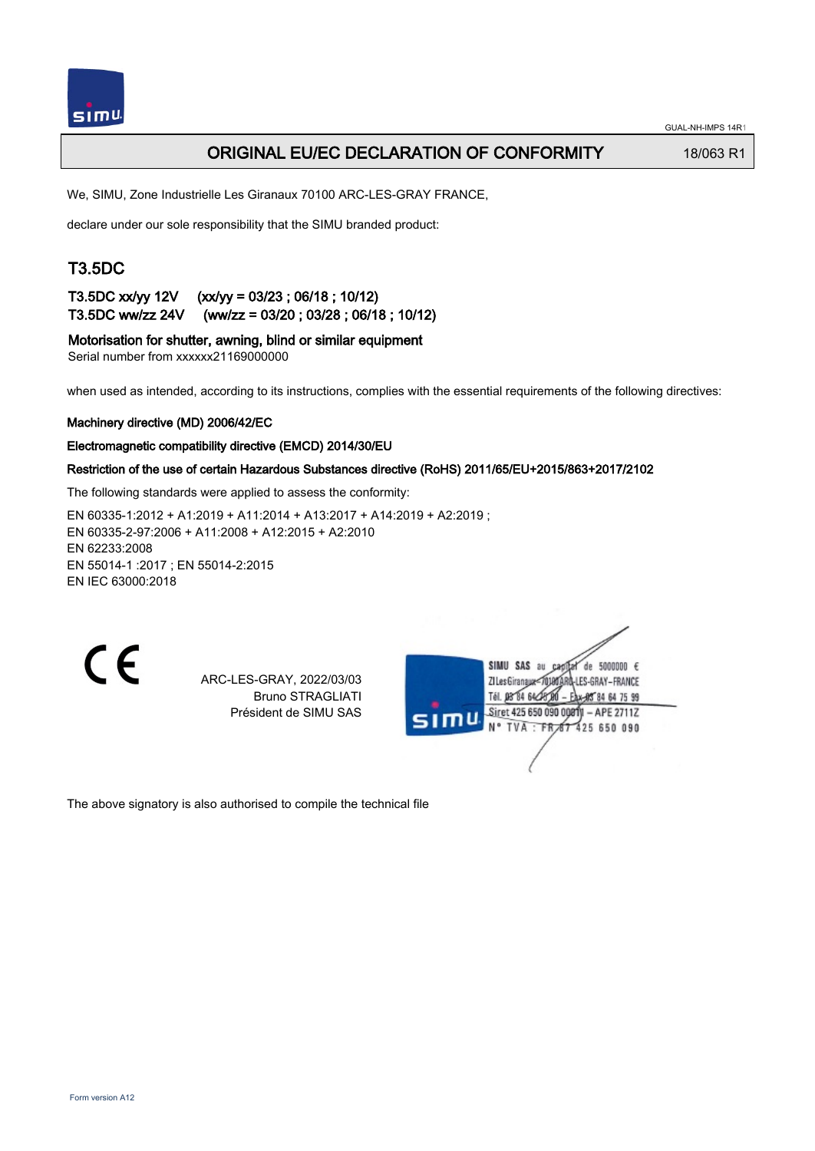

## ORIGINAL EU/EC DECLARATION OF CONFORMITY 18/063 R1

We, SIMU, Zone Industrielle Les Giranaux 70100 ARC-LES-GRAY FRANCE,

declare under our sole responsibility that the SIMU branded product:

## T3.5DC

T3.5DC xx/yy 12V (xx/yy = 03/23 ; 06/18 ; 10/12) T3.5DC ww/zz 24V (ww/zz = 03/20 ; 03/28 ; 06/18 ; 10/12)

Motorisation for shutter, awning, blind or similar equipment

Serial number from xxxxxx21169000000

when used as intended, according to its instructions, complies with the essential requirements of the following directives:

### Machinery directive (MD) 2006/42/EC

### Electromagnetic compatibility directive (EMCD) 2014/30/EU

### Restriction of the use of certain Hazardous Substances directive (RoHS) 2011/65/EU+2015/863+2017/2102

The following standards were applied to assess the conformity:

EN 60335‑1:2012 + A1:2019 + A11:2014 + A13:2017 + A14:2019 + A2:2019 ; EN 60335‑2‑97:2006 + A11:2008 + A12:2015 + A2:2010 EN 62233:2008 EN 55014‑1 :2017 ; EN 55014‑2:2015 EN IEC 63000:2018

 $\epsilon$ 

ARC-LES-GRAY, 2022/03/03 Bruno STRAGLIATI Président de SIMU SAS

|      | SIMU SAS<br>de 5000000 $\epsilon$<br>au<br>RÔ-LES-GRAY – FRANCE<br><b>ZI Les Giranaux</b><br>Tél. 08 84 64 28<br><b>AS 84 64 75 99</b> |  |
|------|----------------------------------------------------------------------------------------------------------------------------------------|--|
| SIMU | Siret 425 650 090 00010 - APE 2711Z<br>N° TVA : FR 67 425 650 090                                                                      |  |
|      |                                                                                                                                        |  |

The above signatory is also authorised to compile the technical file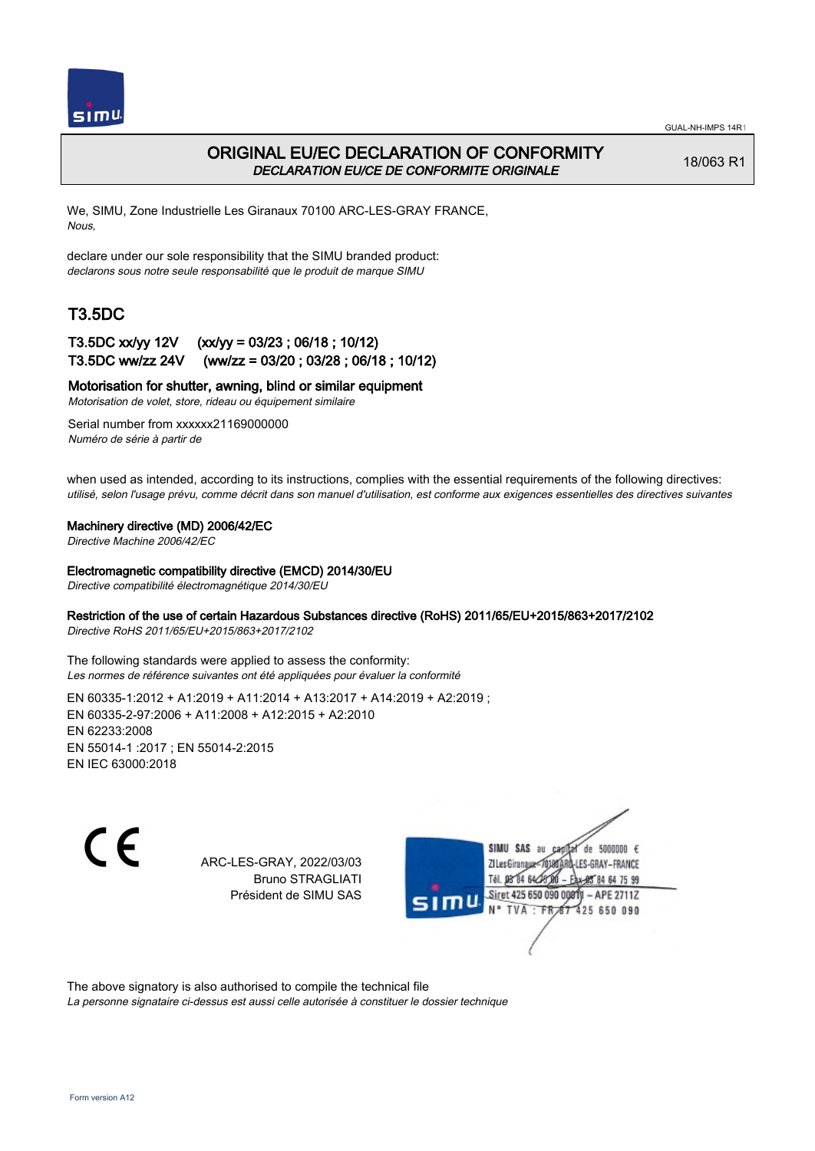

## ORIGINAL EU/EC DECLARATION OF CONFORMITY DECLARATION EU/CE DE CONFORMITE ORIGINALE

18/063 R1

We, SIMU, Zone Industrielle Les Giranaux 70100 ARC-LES-GRAY FRANCE, Nous,

declare under our sole responsibility that the SIMU branded product: declarons sous notre seule responsabilité que le produit de marque SIMU

# T3.5DC

### T3.5DC xx/yy 12V (xx/yy = 03/23 ; 06/18 ; 10/12) T3.5DC ww/zz 24V (ww/zz = 03/20 ; 03/28 ; 06/18 ; 10/12)

### Motorisation for shutter, awning, blind or similar equipment

Motorisation de volet, store, rideau ou équipement similaire

Serial number from xxxxxx21169000000 Numéro de série à partir de

when used as intended, according to its instructions, complies with the essential requirements of the following directives: utilisé, selon l'usage prévu, comme décrit dans son manuel d'utilisation, est conforme aux exigences essentielles des directives suivantes

### Machinery directive (MD) 2006/42/EC

Directive Machine 2006/42/EC

#### Electromagnetic compatibility directive (EMCD) 2014/30/EU

Directive compatibilité électromagnétique 2014/30/EU

### Restriction of the use of certain Hazardous Substances directive (RoHS) 2011/65/EU+2015/863+2017/2102

Directive RoHS 2011/65/EU+2015/863+2017/2102

The following standards were applied to assess the conformity: Les normes de référence suivantes ont été appliquées pour évaluer la conformité

EN 60335‑1:2012 + A1:2019 + A11:2014 + A13:2017 + A14:2019 + A2:2019 ; EN 60335‑2‑97:2006 + A11:2008 + A12:2015 + A2:2010 EN 62233:2008 EN 55014‑1 :2017 ; EN 55014‑2:2015 EN IEC 63000:2018

 $\epsilon$ 

ARC-LES-GRAY, 2022/03/03 Bruno STRAGLIATI Président de SIMU SAS

de 5000000  $\epsilon$ **ZI Les Giranaux** ES-GRAY-FRANCE Tél. 08 84 64 24 84 64 75 99 Siret 425 650 090 00811  $-$  APE 2711Z 425 650 090 **TVA** 

The above signatory is also authorised to compile the technical file

La personne signataire ci-dessus est aussi celle autorisée à constituer le dossier technique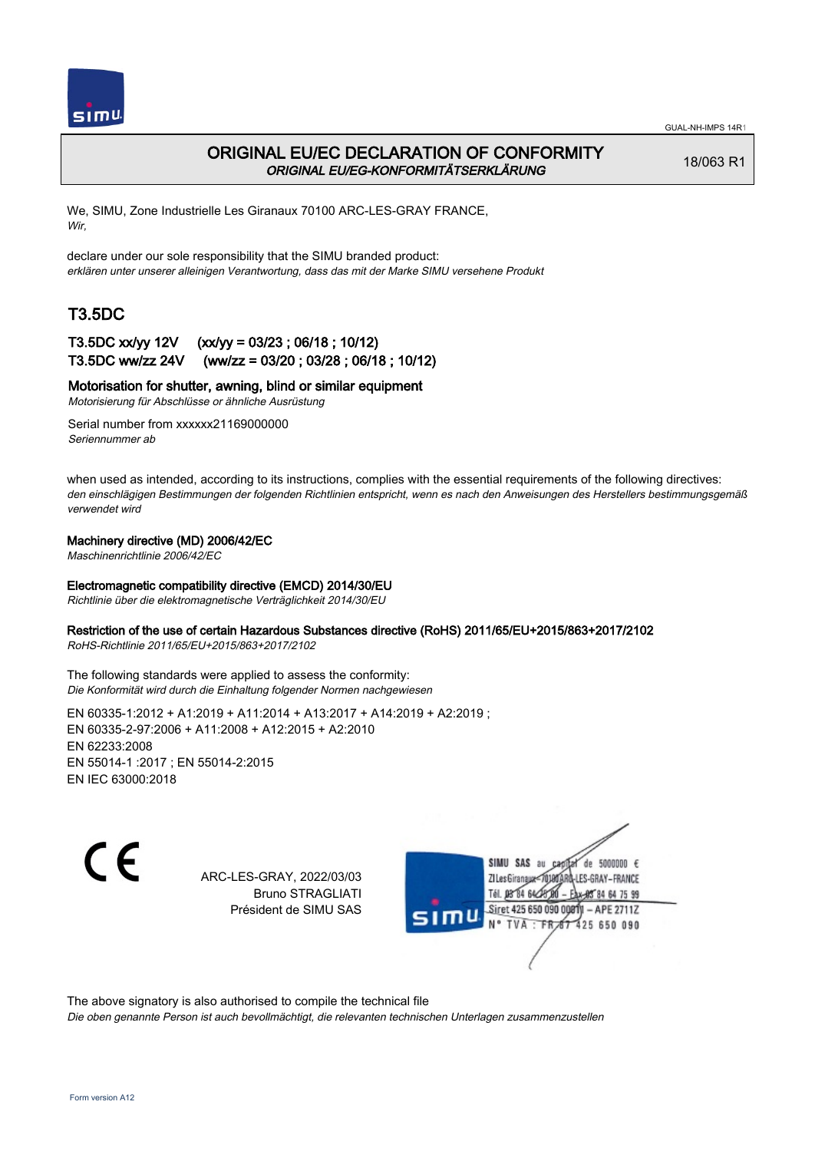

## ORIGINAL EU/EC DECLARATION OF CONFORMITY ORIGINAL EU/EG-KONFORMITÄTSERKLÄRUNG

18/063 R1

We, SIMU, Zone Industrielle Les Giranaux 70100 ARC-LES-GRAY FRANCE, Wir,

declare under our sole responsibility that the SIMU branded product: erklären unter unserer alleinigen Verantwortung, dass das mit der Marke SIMU versehene Produkt

# T3.5DC

### T3.5DC xx/yy 12V (xx/yy = 03/23 ; 06/18 ; 10/12) T3.5DC ww/zz 24V (ww/zz = 03/20 ; 03/28 ; 06/18 ; 10/12)

### Motorisation for shutter, awning, blind or similar equipment

Motorisierung für Abschlüsse or ähnliche Ausrüstung

Serial number from xxxxxx21169000000 Seriennummer ab

when used as intended, according to its instructions, complies with the essential requirements of the following directives: den einschlägigen Bestimmungen der folgenden Richtlinien entspricht, wenn es nach den Anweisungen des Herstellers bestimmungsgemäß verwendet wird

### Machinery directive (MD) 2006/42/EC

Maschinenrichtlinie 2006/42/EC

### Electromagnetic compatibility directive (EMCD) 2014/30/EU

Richtlinie über die elektromagnetische Verträglichkeit 2014/30/EU

### Restriction of the use of certain Hazardous Substances directive (RoHS) 2011/65/EU+2015/863+2017/2102

RoHS-Richtlinie 2011/65/EU+2015/863+2017/2102

#### The following standards were applied to assess the conformity: Die Konformität wird durch die Einhaltung folgender Normen nachgewiesen

EN 60335‑1:2012 + A1:2019 + A11:2014 + A13:2017 + A14:2019 + A2:2019 ; EN 60335‑2‑97:2006 + A11:2008 + A12:2015 + A2:2010 EN 62233:2008 EN 55014‑1 :2017 ; EN 55014‑2:2015 EN IEC 63000:2018

C E

ARC-LES-GRAY, 2022/03/03 Bruno STRAGLIATI Président de SIMU SAS

SIMU SAS au de 5000000 € **ZILes Giranaux** ES-GRAY-FRANCE 64 75 99 Siret 425 650 090 00811  $-$  APE 2711Z 425 650 090

The above signatory is also authorised to compile the technical file

Die oben genannte Person ist auch bevollmächtigt, die relevanten technischen Unterlagen zusammenzustellen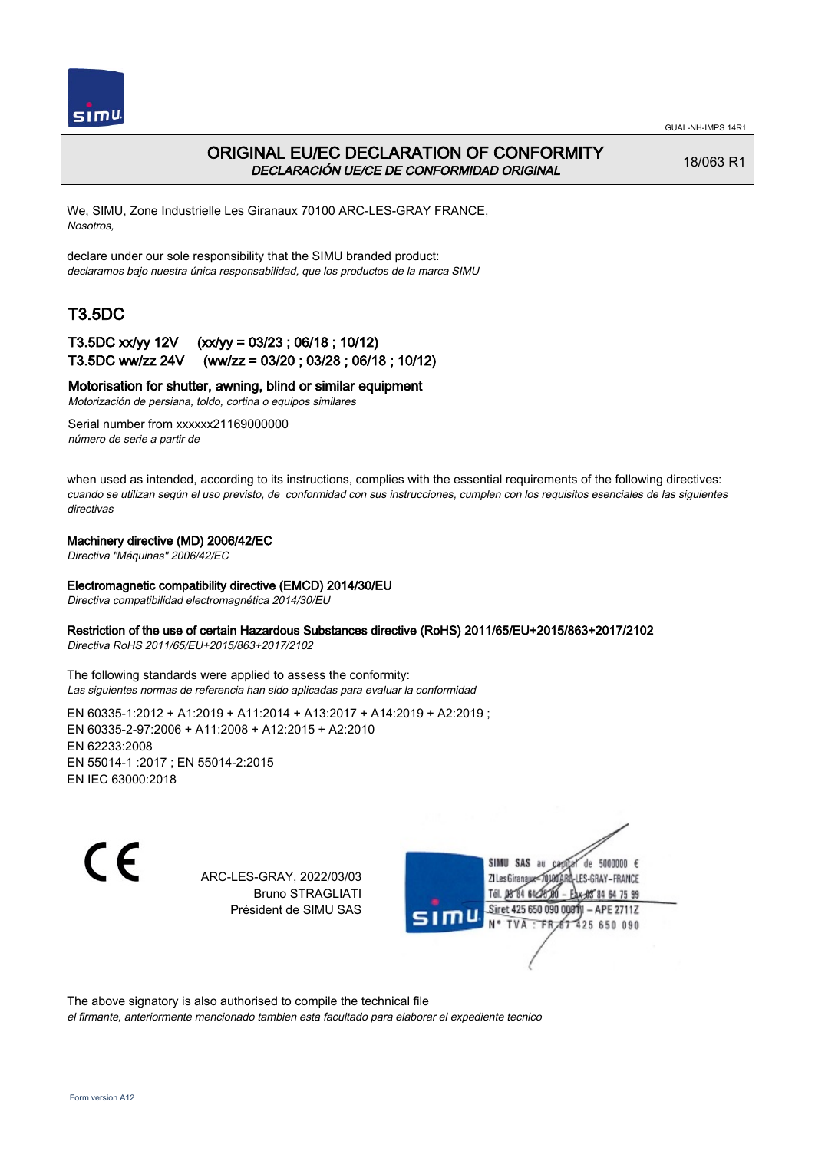

### ORIGINAL EU/EC DECLARATION OF CONFORMITY DECLARACIÓN UE/CE DE CONFORMIDAD ORIGINAL

18/063 R1

We, SIMU, Zone Industrielle Les Giranaux 70100 ARC-LES-GRAY FRANCE, Nosotros,

declare under our sole responsibility that the SIMU branded product: declaramos bajo nuestra única responsabilidad, que los productos de la marca SIMU

## T3.5DC

### T3.5DC xx/yy 12V (xx/yy = 03/23 ; 06/18 ; 10/12) T3.5DC ww/zz 24V (ww/zz = 03/20 ; 03/28 ; 06/18 ; 10/12)

### Motorisation for shutter, awning, blind or similar equipment

Motorización de persiana, toldo, cortina o equipos similares

Serial number from xxxxxx21169000000 número de serie a partir de

when used as intended, according to its instructions, complies with the essential requirements of the following directives: cuando se utilizan según el uso previsto, de conformidad con sus instrucciones, cumplen con los requisitos esenciales de las siguientes directivas

#### Machinery directive (MD) 2006/42/EC

Directiva "Máquinas" 2006/42/EC

#### Electromagnetic compatibility directive (EMCD) 2014/30/EU

Directiva compatibilidad electromagnética 2014/30/EU

#### Restriction of the use of certain Hazardous Substances directive (RoHS) 2011/65/EU+2015/863+2017/2102

Directiva RoHS 2011/65/EU+2015/863+2017/2102

The following standards were applied to assess the conformity: Las siguientes normas de referencia han sido aplicadas para evaluar la conformidad

EN 60335‑1:2012 + A1:2019 + A11:2014 + A13:2017 + A14:2019 + A2:2019 ; EN 60335‑2‑97:2006 + A11:2008 + A12:2015 + A2:2010 EN 62233:2008 EN 55014‑1 :2017 ; EN 55014‑2:2015 EN IEC 63000:2018

C F

ARC-LES-GRAY, 2022/03/03 Bruno STRAGLIATI Président de SIMU SAS



The above signatory is also authorised to compile the technical file el firmante, anteriormente mencionado tambien esta facultado para elaborar el expediente tecnico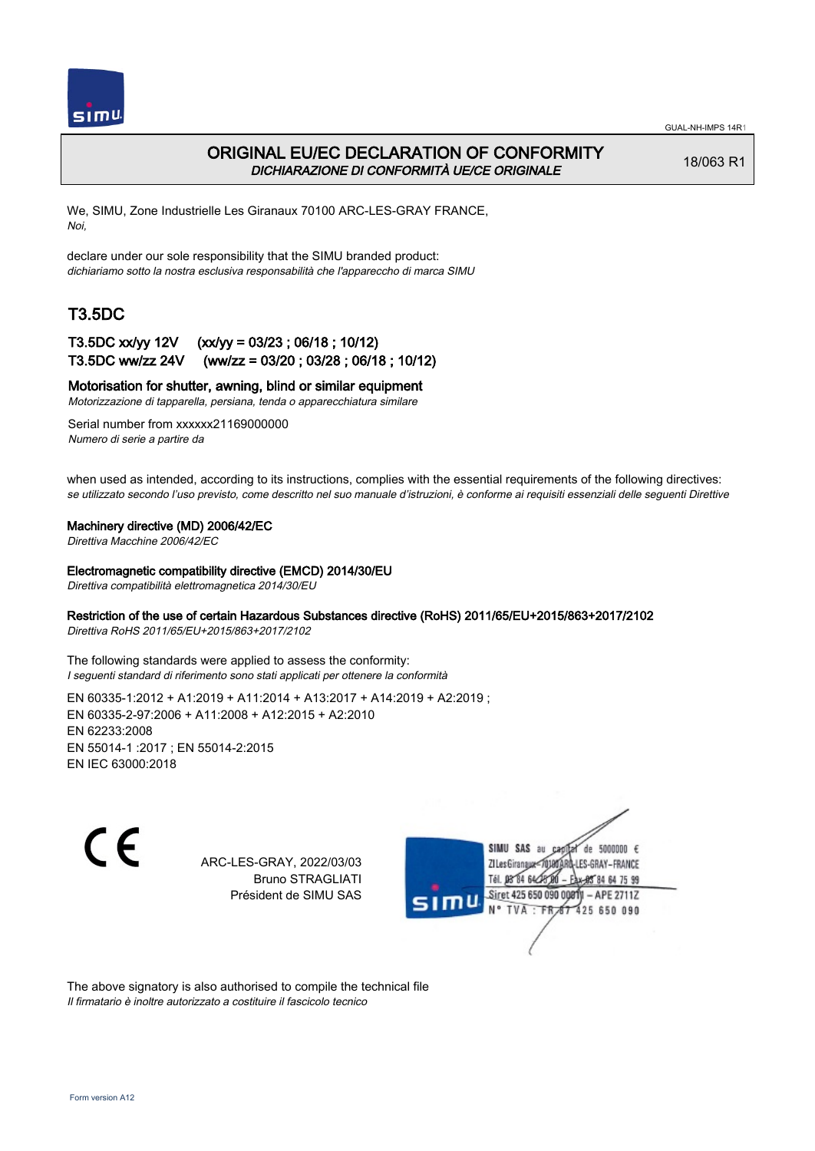

## ORIGINAL EU/EC DECLARATION OF CONFORMITY DICHIARAZIONE DI CONFORMITÀ UE/CE ORIGINALE

18/063 R1

We, SIMU, Zone Industrielle Les Giranaux 70100 ARC-LES-GRAY FRANCE, Noi,

declare under our sole responsibility that the SIMU branded product: dichiariamo sotto la nostra esclusiva responsabilità che l'appareccho di marca SIMU

# T3.5DC

### T3.5DC xx/yy 12V (xx/yy = 03/23 ; 06/18 ; 10/12) T3.5DC ww/zz 24V (ww/zz = 03/20 ; 03/28 ; 06/18 ; 10/12)

Motorisation for shutter, awning, blind or similar equipment

Motorizzazione di tapparella, persiana, tenda o apparecchiatura similare

Serial number from xxxxxx21169000000 Numero di serie a partire da

when used as intended, according to its instructions, complies with the essential requirements of the following directives: se utilizzato secondo l'uso previsto, come descritto nel suo manuale d'istruzioni, è conforme ai requisiti essenziali delle seguenti Direttive

#### Machinery directive (MD) 2006/42/EC

Direttiva Macchine 2006/42/EC

#### Electromagnetic compatibility directive (EMCD) 2014/30/EU

Direttiva compatibilità elettromagnetica 2014/30/EU

### Restriction of the use of certain Hazardous Substances directive (RoHS) 2011/65/EU+2015/863+2017/2102

Direttiva RoHS 2011/65/EU+2015/863+2017/2102

The following standards were applied to assess the conformity: I seguenti standard di riferimento sono stati applicati per ottenere la conformità

EN 60335‑1:2012 + A1:2019 + A11:2014 + A13:2017 + A14:2019 + A2:2019 ; EN 60335‑2‑97:2006 + A11:2008 + A12:2015 + A2:2010 EN 62233:2008 EN 55014‑1 :2017 ; EN 55014‑2:2015 EN IEC 63000:2018

 $\epsilon$ 

ARC-LES-GRAY, 2022/03/03 Bruno STRAGLIATI Président de SIMU SAS



The above signatory is also authorised to compile the technical file Il firmatario è inoltre autorizzato a costituire il fascicolo tecnico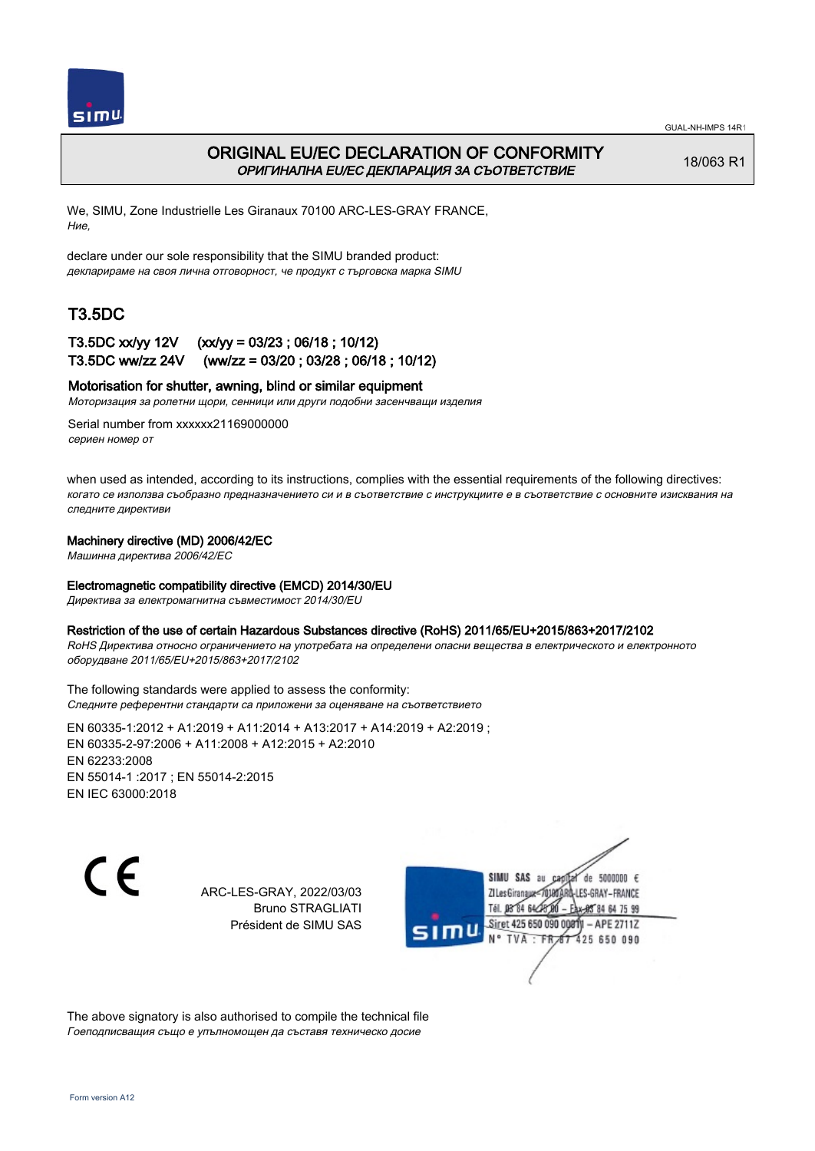

## ORIGINAL EU/EC DECLARATION OF CONFORMITY ОРИГИНАЛНА EU/EC ДЕКЛАРАЦИЯ ЗА СЪОТВЕТСТВИЕ

18/063 R1

We, SIMU, Zone Industrielle Les Giranaux 70100 ARC-LES-GRAY FRANCE, Ние,

declare under our sole responsibility that the SIMU branded product: декларираме на своя лична отговорност, че продукт с търговска марка SIMU

# T3.5DC

## T3.5DC xx/yy 12V (xx/yy = 03/23 ; 06/18 ; 10/12) T3.5DC ww/zz 24V (ww/zz = 03/20 ; 03/28 ; 06/18 ; 10/12)

### Motorisation for shutter, awning, blind or similar equipment

Моторизация за ролетни щори, сенници или други подобни засенчващи изделия

Serial number from xxxxxx21169000000 сериен номер от

when used as intended, according to its instructions, complies with the essential requirements of the following directives: когато се използва съобразно предназначението си и в съответствие с инструкциите е в съответствие с основните изисквания на следните директиви

#### Machinery directive (MD) 2006/42/EC

Машинна директива 2006/42/EC

#### Electromagnetic compatibility directive (EMCD) 2014/30/EU

Директива за електромагнитна съвместимост 2014/30/EU

#### Restriction of the use of certain Hazardous Substances directive (RoHS) 2011/65/EU+2015/863+2017/2102

RoHS Директива относно ограничението на употребата на определени опасни вещества в електрическото и електронното оборудване 2011/65/EU+2015/863+2017/2102

The following standards were applied to assess the conformity: Следните референтни стандарти са приложени за оценяване на съответствието

EN 60335‑1:2012 + A1:2019 + A11:2014 + A13:2017 + A14:2019 + A2:2019 ; EN 60335‑2‑97:2006 + A11:2008 + A12:2015 + A2:2010 EN 62233:2008 EN 55014‑1 :2017 ; EN 55014‑2:2015 EN IEC 63000:2018



ARC-LES-GRAY, 2022/03/03 Bruno STRAGLIATI Président de SIMU SAS



The above signatory is also authorised to compile the technical file Гоеподписващия също е упълномощен да съставя техническо досие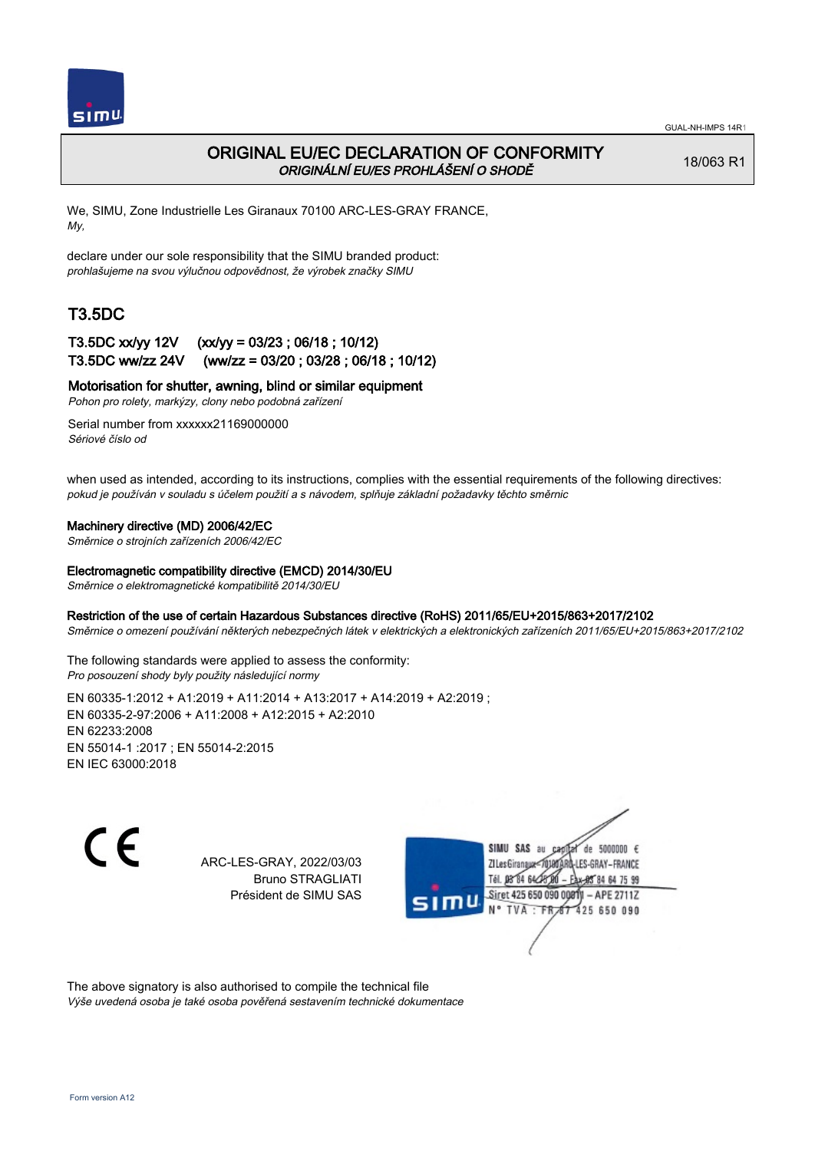

## ORIGINAL EU/EC DECLARATION OF CONFORMITY ORIGINÁLNÍ EU/ES PROHLÁŠENÍ O SHODĚ

18/063 R1

We, SIMU, Zone Industrielle Les Giranaux 70100 ARC-LES-GRAY FRANCE, My,

declare under our sole responsibility that the SIMU branded product: prohlašujeme na svou výlučnou odpovědnost, že výrobek značky SIMU

# T3.5DC

## T3.5DC xx/yy 12V (xx/yy = 03/23 ; 06/18 ; 10/12) T3.5DC ww/zz 24V (ww/zz = 03/20 ; 03/28 ; 06/18 ; 10/12)

Motorisation for shutter, awning, blind or similar equipment

Pohon pro rolety, markýzy, clony nebo podobná zařízení

Serial number from xxxxxx21169000000 Sériové číslo od

when used as intended, according to its instructions, complies with the essential requirements of the following directives: pokud je používán v souladu s účelem použití a s návodem, splňuje základní požadavky těchto směrnic

### Machinery directive (MD) 2006/42/EC

Směrnice o strojních zařízeních 2006/42/EC

#### Electromagnetic compatibility directive (EMCD) 2014/30/EU

Směrnice o elektromagnetické kompatibilitě 2014/30/EU

#### Restriction of the use of certain Hazardous Substances directive (RoHS) 2011/65/EU+2015/863+2017/2102

Směrnice o omezení používání některých nebezpečných látek v elektrických a elektronických zařízeních 2011/65/EU+2015/863+2017/2102

The following standards were applied to assess the conformity: Pro posouzení shody byly použity následující normy

EN 60335‑1:2012 + A1:2019 + A11:2014 + A13:2017 + A14:2019 + A2:2019 ; EN 60335‑2‑97:2006 + A11:2008 + A12:2015 + A2:2010 EN 62233:2008 EN 55014‑1 :2017 ; EN 55014‑2:2015 EN IEC 63000:2018

 $\epsilon$ 

ARC-LES-GRAY, 2022/03/03 Bruno STRAGLIATI Président de SIMU SAS



The above signatory is also authorised to compile the technical file Výše uvedená osoba je také osoba pověřená sestavením technické dokumentace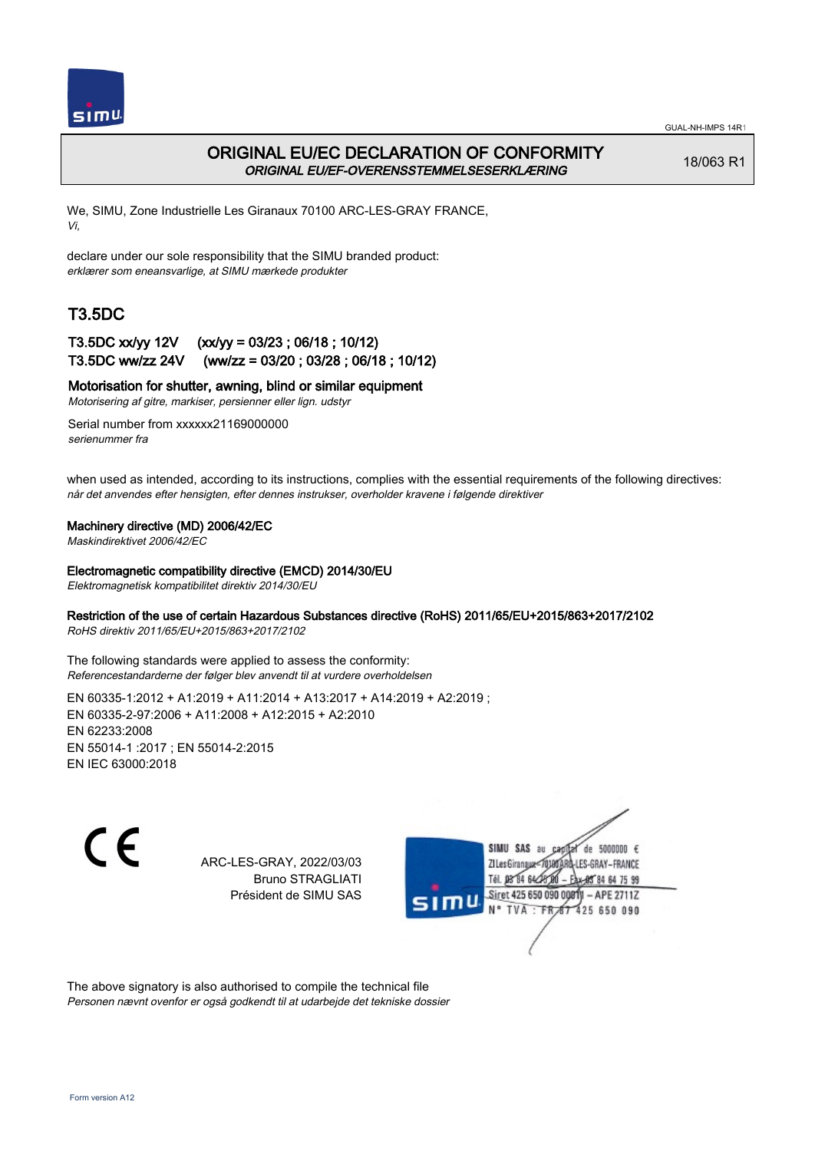

## ORIGINAL EU/EC DECLARATION OF CONFORMITY ORIGINAL EU/EF-OVERENSSTEMMELSESERKLÆRING

18/063 R1

We, SIMU, Zone Industrielle Les Giranaux 70100 ARC-LES-GRAY FRANCE, Vi,

declare under our sole responsibility that the SIMU branded product: erklærer som eneansvarlige, at SIMU mærkede produkter

# T3.5DC

### T3.5DC xx/yy 12V (xx/yy = 03/23 ; 06/18 ; 10/12) T3.5DC ww/zz 24V (ww/zz = 03/20 ; 03/28 ; 06/18 ; 10/12)

### Motorisation for shutter, awning, blind or similar equipment

Motorisering af gitre, markiser, persienner eller lign. udstyr

Serial number from xxxxxx21169000000 serienummer fra

when used as intended, according to its instructions, complies with the essential requirements of the following directives: når det anvendes efter hensigten, efter dennes instrukser, overholder kravene i følgende direktiver

### Machinery directive (MD) 2006/42/EC

Maskindirektivet 2006/42/EC

#### Electromagnetic compatibility directive (EMCD) 2014/30/EU

Elektromagnetisk kompatibilitet direktiv 2014/30/EU

### Restriction of the use of certain Hazardous Substances directive (RoHS) 2011/65/EU+2015/863+2017/2102

RoHS direktiv 2011/65/EU+2015/863+2017/2102

The following standards were applied to assess the conformity: Referencestandarderne der følger blev anvendt til at vurdere overholdelsen

EN 60335‑1:2012 + A1:2019 + A11:2014 + A13:2017 + A14:2019 + A2:2019 ; EN 60335‑2‑97:2006 + A11:2008 + A12:2015 + A2:2010 EN 62233:2008 EN 55014‑1 :2017 ; EN 55014‑2:2015 EN IEC 63000:2018

 $\epsilon$ 

ARC-LES-GRAY, 2022/03/03 Bruno STRAGLIATI Président de SIMU SAS



The above signatory is also authorised to compile the technical file Personen nævnt ovenfor er også godkendt til at udarbejde det tekniske dossier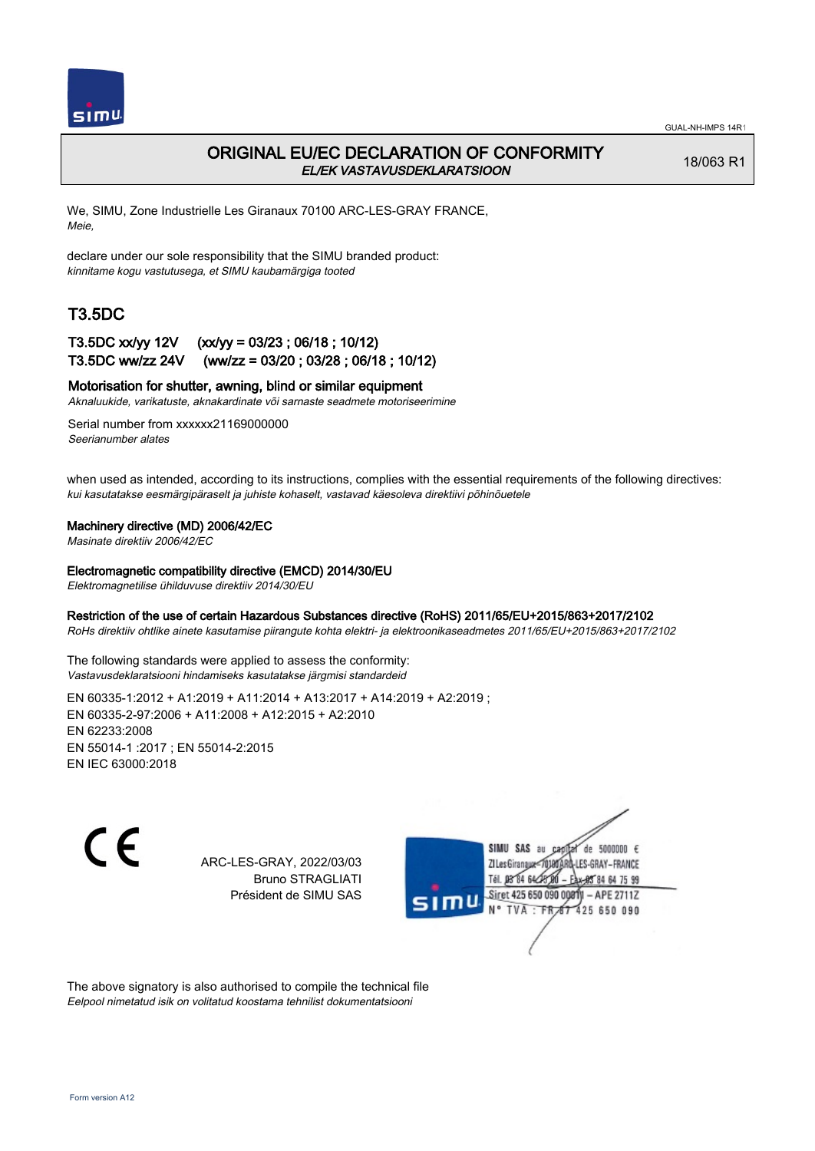

## ORIGINAL EU/EC DECLARATION OF CONFORMITY EL/EK VASTAVUSDEKLARATSIOON

18/063 R1

We, SIMU, Zone Industrielle Les Giranaux 70100 ARC-LES-GRAY FRANCE, Meie,

declare under our sole responsibility that the SIMU branded product: kinnitame kogu vastutusega, et SIMU kaubamärgiga tooted

# T3.5DC

### T3.5DC xx/yy 12V (xx/yy = 03/23 ; 06/18 ; 10/12) T3.5DC ww/zz 24V (ww/zz = 03/20 ; 03/28 ; 06/18 ; 10/12)

### Motorisation for shutter, awning, blind or similar equipment

Aknaluukide, varikatuste, aknakardinate või sarnaste seadmete motoriseerimine

Serial number from xxxxxx21169000000 Seerianumber alates

when used as intended, according to its instructions, complies with the essential requirements of the following directives: kui kasutatakse eesmärgipäraselt ja juhiste kohaselt, vastavad käesoleva direktiivi põhinõuetele

#### Machinery directive (MD) 2006/42/EC

Masinate direktiiv 2006/42/EC

#### Electromagnetic compatibility directive (EMCD) 2014/30/EU

Elektromagnetilise ühilduvuse direktiiv 2014/30/EU

#### Restriction of the use of certain Hazardous Substances directive (RoHS) 2011/65/EU+2015/863+2017/2102

RoHs direktiiv ohtlike ainete kasutamise piirangute kohta elektri- ja elektroonikaseadmetes 2011/65/EU+2015/863+2017/2102

The following standards were applied to assess the conformity: Vastavusdeklaratsiooni hindamiseks kasutatakse järgmisi standardeid

EN 60335‑1:2012 + A1:2019 + A11:2014 + A13:2017 + A14:2019 + A2:2019 ; EN 60335‑2‑97:2006 + A11:2008 + A12:2015 + A2:2010 EN 62233:2008 EN 55014‑1 :2017 ; EN 55014‑2:2015 EN IEC 63000:2018

 $\epsilon$ 

ARC-LES-GRAY, 2022/03/03 Bruno STRAGLIATI Président de SIMU SAS



The above signatory is also authorised to compile the technical file Eelpool nimetatud isik on volitatud koostama tehnilist dokumentatsiooni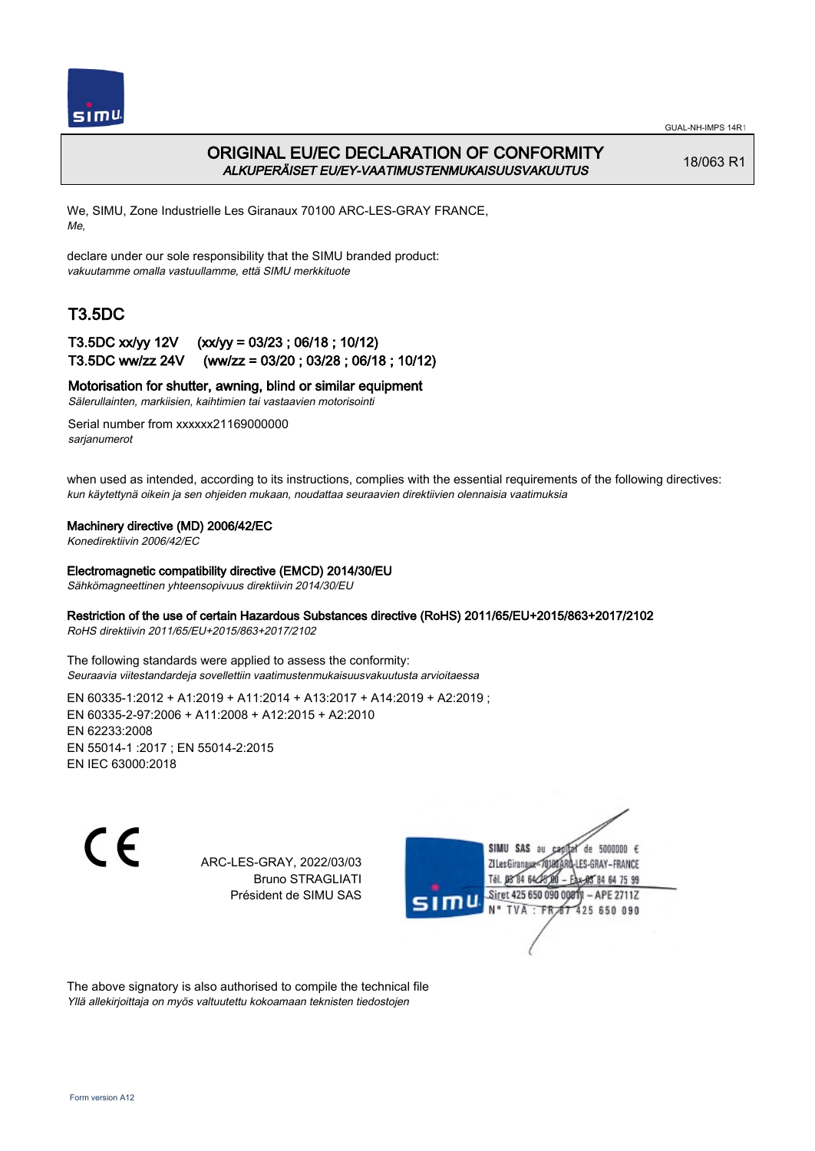

## ORIGINAL EU/EC DECLARATION OF CONFORMITY ALKUPERÄISET EU/EY-VAATIMUSTENMUKAISUUSVAKUUTUS

18/063 R1

We, SIMU, Zone Industrielle Les Giranaux 70100 ARC-LES-GRAY FRANCE, Me,

declare under our sole responsibility that the SIMU branded product: vakuutamme omalla vastuullamme, että SIMU merkkituote

# T3.5DC

### T3.5DC xx/yy 12V (xx/yy = 03/23 ; 06/18 ; 10/12) T3.5DC ww/zz 24V (ww/zz = 03/20 ; 03/28 ; 06/18 ; 10/12)

Motorisation for shutter, awning, blind or similar equipment

Sälerullainten, markiisien, kaihtimien tai vastaavien motorisointi

Serial number from xxxxxx21169000000 sarianumerot

when used as intended, according to its instructions, complies with the essential requirements of the following directives: kun käytettynä oikein ja sen ohjeiden mukaan, noudattaa seuraavien direktiivien olennaisia vaatimuksia

### Machinery directive (MD) 2006/42/EC

Konedirektiivin 2006/42/EC

#### Electromagnetic compatibility directive (EMCD) 2014/30/EU

Sähkömagneettinen yhteensopivuus direktiivin 2014/30/EU

### Restriction of the use of certain Hazardous Substances directive (RoHS) 2011/65/EU+2015/863+2017/2102

RoHS direktiivin 2011/65/EU+2015/863+2017/2102

The following standards were applied to assess the conformity: Seuraavia viitestandardeja sovellettiin vaatimustenmukaisuusvakuutusta arvioitaessa

EN 60335‑1:2012 + A1:2019 + A11:2014 + A13:2017 + A14:2019 + A2:2019 ; EN 60335‑2‑97:2006 + A11:2008 + A12:2015 + A2:2010 EN 62233:2008 EN 55014‑1 :2017 ; EN 55014‑2:2015 EN IEC 63000:2018

C F

ARC-LES-GRAY, 2022/03/03 Bruno STRAGLIATI Président de SIMU SAS



The above signatory is also authorised to compile the technical file Yllä allekirjoittaja on myös valtuutettu kokoamaan teknisten tiedostojen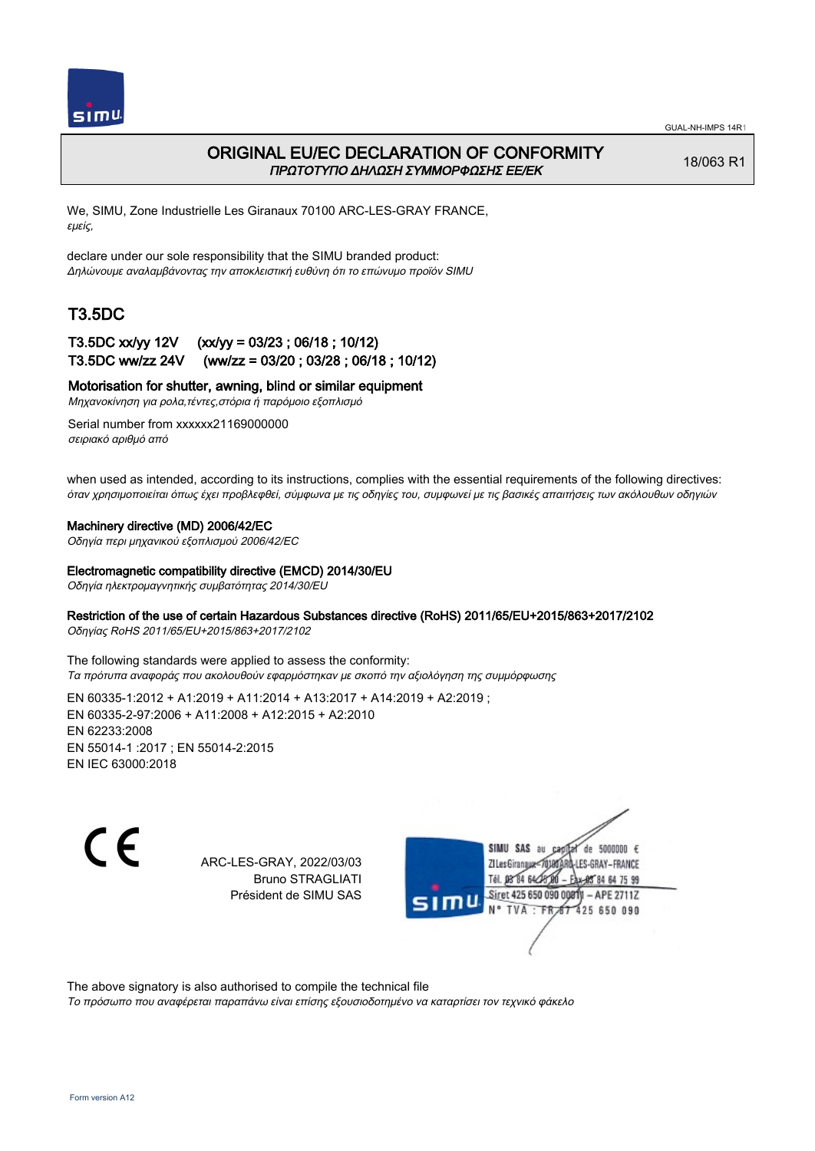

### ORIGINAL EU/EC DECLARATION OF CONFORMITY ΠΡΩΤΟΤΥΠΟ ΔΗΛΩΣΗ ΣΥΜΜΟΡΦΩΣΗΣ ΕΕ/EK

18/063 R1

We, SIMU, Zone Industrielle Les Giranaux 70100 ARC-LES-GRAY FRANCE, εμείς,

declare under our sole responsibility that the SIMU branded product: Δηλώνουμε αναλαμβάνοντας την αποκλειστική ευθύνη ότι το επώνυμο προϊόν SIMU

## T3.5DC

### T3.5DC xx/yy 12V (xx/yy = 03/23 ; 06/18 ; 10/12) T3.5DC ww/zz 24V (ww/zz = 03/20 ; 03/28 ; 06/18 ; 10/12)

Motorisation for shutter, awning, blind or similar equipment

Μηχανοκίνηση για ρολα,τέντες,στόρια ή παρόμοιο εξοπλισμό

Serial number from xxxxxx21169000000 σειριακό αριθμό από

when used as intended, according to its instructions, complies with the essential requirements of the following directives: όταν χρησιμοποιείται όπως έχει προβλεφθεί, σύμφωνα με τις οδηγίες του, συμφωνεί με τις βασικές απαιτήσεις των ακόλουθων οδηγιών

### Machinery directive (MD) 2006/42/EC

Οδηγία περι μηχανικού εξοπλισμού 2006/42/EC

#### Electromagnetic compatibility directive (EMCD) 2014/30/EU

Οδηγία ηλεκτρομαγνητικής συμβατότητας 2014/30/EU

### Restriction of the use of certain Hazardous Substances directive (RoHS) 2011/65/EU+2015/863+2017/2102

Οδηγίας RoHS 2011/65/EU+2015/863+2017/2102

The following standards were applied to assess the conformity: Τα πρότυπα αναφοράς που ακολουθούν εφαρμόστηκαν με σκοπό την αξιολόγηση της συμμόρφωσης

EN 60335‑1:2012 + A1:2019 + A11:2014 + A13:2017 + A14:2019 + A2:2019 ; EN 60335‑2‑97:2006 + A11:2008 + A12:2015 + A2:2010 EN 62233:2008 EN 55014‑1 :2017 ; EN 55014‑2:2015 EN IEC 63000:2018

 $\epsilon$ 

ARC-LES-GRAY, 2022/03/03 Bruno STRAGLIATI Président de SIMU SAS

de 5000000  $\epsilon$ **ZILes Giranaux** ES-GRAY-FRANCE Tél. 08 84 64 24 85 84 64 75 99 Siret 425 650 090 00811 - APE 2711Z 425 650 090 **TVA** 

The above signatory is also authorised to compile the technical file

Το πρόσωπο που αναφέρεται παραπάνω είναι επίσης εξουσιοδοτημένο να καταρτίσει τον τεχνικό φάκελο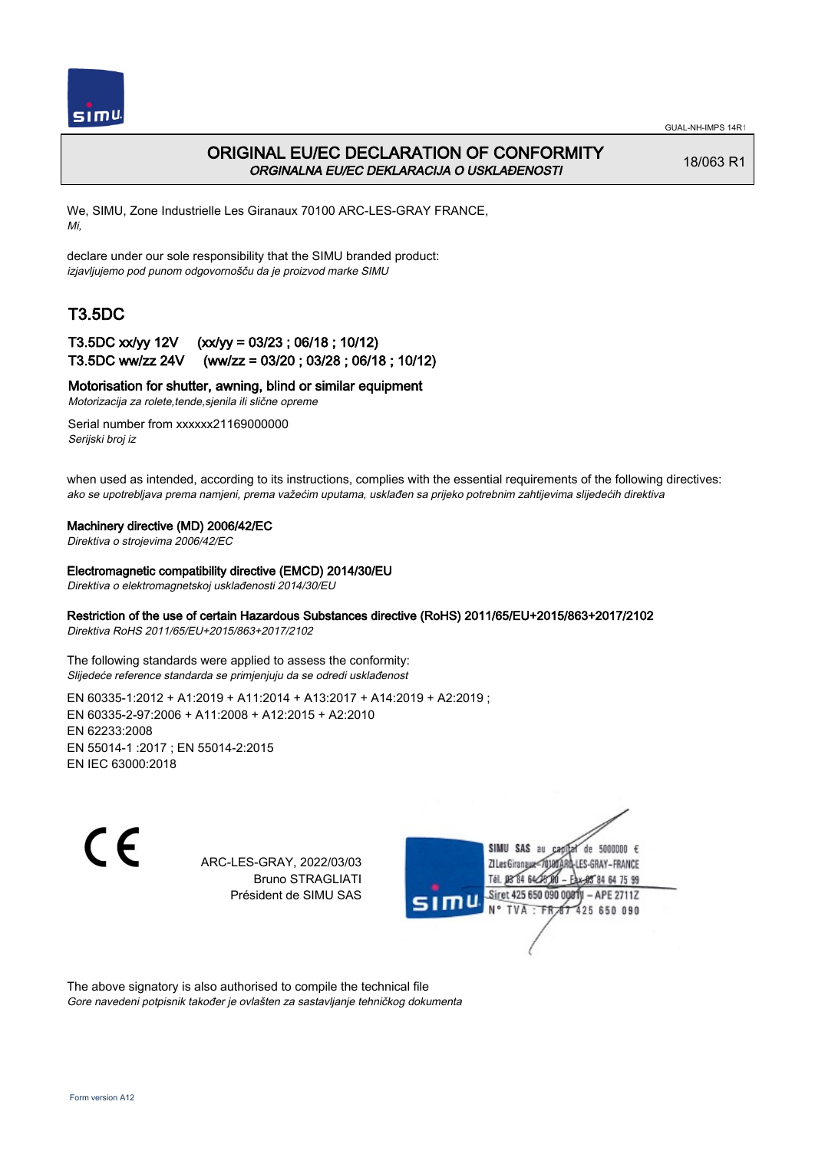

## ORIGINAL EU/EC DECLARATION OF CONFORMITY ORGINALNA EU/EC DEKLARACIJA O USKLAĐENOSTI

18/063 R1

We, SIMU, Zone Industrielle Les Giranaux 70100 ARC-LES-GRAY FRANCE, Mi,

declare under our sole responsibility that the SIMU branded product: izjavljujemo pod punom odgovornošču da je proizvod marke SIMU

# T3.5DC

### T3.5DC xx/yy 12V (xx/yy = 03/23 ; 06/18 ; 10/12) T3.5DC ww/zz 24V (ww/zz = 03/20 ; 03/28 ; 06/18 ; 10/12)

### Motorisation for shutter, awning, blind or similar equipment

Motorizacija za rolete,tende,sjenila ili slične opreme

Serial number from xxxxxx21169000000 Serijski broj iz

when used as intended, according to its instructions, complies with the essential requirements of the following directives: ako se upotrebljava prema namjeni, prema važećim uputama, usklađen sa prijeko potrebnim zahtijevima slijedećih direktiva

### Machinery directive (MD) 2006/42/EC

Direktiva o strojevima 2006/42/EC

### Electromagnetic compatibility directive (EMCD) 2014/30/EU

Direktiva o elektromagnetskoj usklađenosti 2014/30/EU

### Restriction of the use of certain Hazardous Substances directive (RoHS) 2011/65/EU+2015/863+2017/2102

Direktiva RoHS 2011/65/EU+2015/863+2017/2102

The following standards were applied to assess the conformity: Slijedeće reference standarda se primjenjuju da se odredi usklađenost

EN 60335‑1:2012 + A1:2019 + A11:2014 + A13:2017 + A14:2019 + A2:2019 ; EN 60335‑2‑97:2006 + A11:2008 + A12:2015 + A2:2010 EN 62233:2008 EN 55014‑1 :2017 ; EN 55014‑2:2015 EN IEC 63000:2018

 $\epsilon$ 

ARC-LES-GRAY, 2022/03/03 Bruno STRAGLIATI Président de SIMU SAS



The above signatory is also authorised to compile the technical file Gore navedeni potpisnik također je ovlašten za sastavljanje tehničkog dokumenta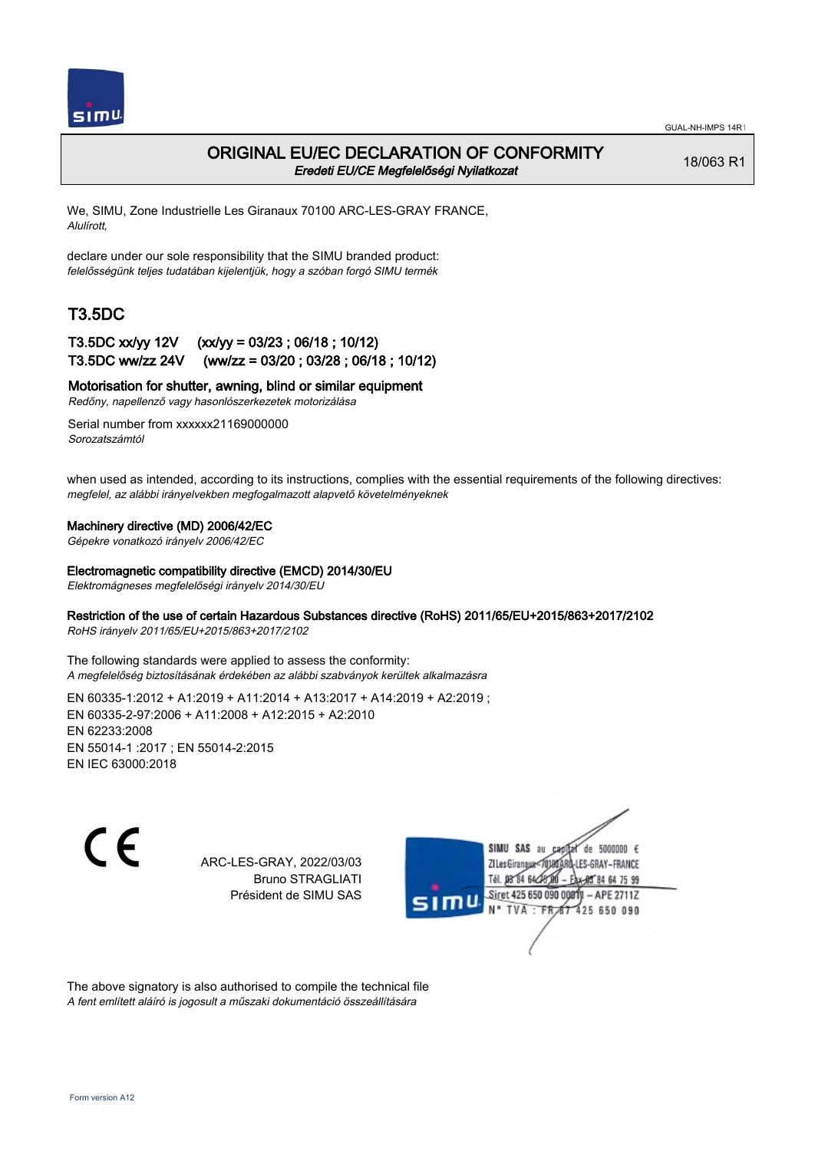

### ORIGINAL EU/EC DECLARATION OF CONFORMITY Eredeti EU/CE Megfelelőségi Nyilatkozat

18/063 R1

We, SIMU, Zone Industrielle Les Giranaux 70100 ARC-LES-GRAY FRANCE, Alulírott,

declare under our sole responsibility that the SIMU branded product: felelősségünk teljes tudatában kijelentjük, hogy a szóban forgó SIMU termék

# T3.5DC

### T3.5DC xx/yy 12V (xx/yy = 03/23 ; 06/18 ; 10/12) T3.5DC ww/zz 24V (ww/zz = 03/20 ; 03/28 ; 06/18 ; 10/12)

Motorisation for shutter, awning, blind or similar equipment

Redőny, napellenző vagy hasonlószerkezetek motorizálása

Serial number from xxxxxx21169000000 Sorozatszámtól

when used as intended, according to its instructions, complies with the essential requirements of the following directives: megfelel, az alábbi irányelvekben megfogalmazott alapvető követelményeknek

### Machinery directive (MD) 2006/42/EC

Gépekre vonatkozó irányelv 2006/42/EC

#### Electromagnetic compatibility directive (EMCD) 2014/30/EU

Elektromágneses megfelelőségi irányelv 2014/30/EU

### Restriction of the use of certain Hazardous Substances directive (RoHS) 2011/65/EU+2015/863+2017/2102

RoHS irányelv 2011/65/EU+2015/863+2017/2102

The following standards were applied to assess the conformity: A megfelelőség biztosításának érdekében az alábbi szabványok kerültek alkalmazásra

EN 60335‑1:2012 + A1:2019 + A11:2014 + A13:2017 + A14:2019 + A2:2019 ; EN 60335‑2‑97:2006 + A11:2008 + A12:2015 + A2:2010 EN 62233:2008 EN 55014‑1 :2017 ; EN 55014‑2:2015 EN IEC 63000:2018

 $\epsilon$ 

ARC-LES-GRAY, 2022/03/03 Bruno STRAGLIATI Président de SIMU SAS



The above signatory is also authorised to compile the technical file A fent említett aláíró is jogosult a műszaki dokumentáció összeállítására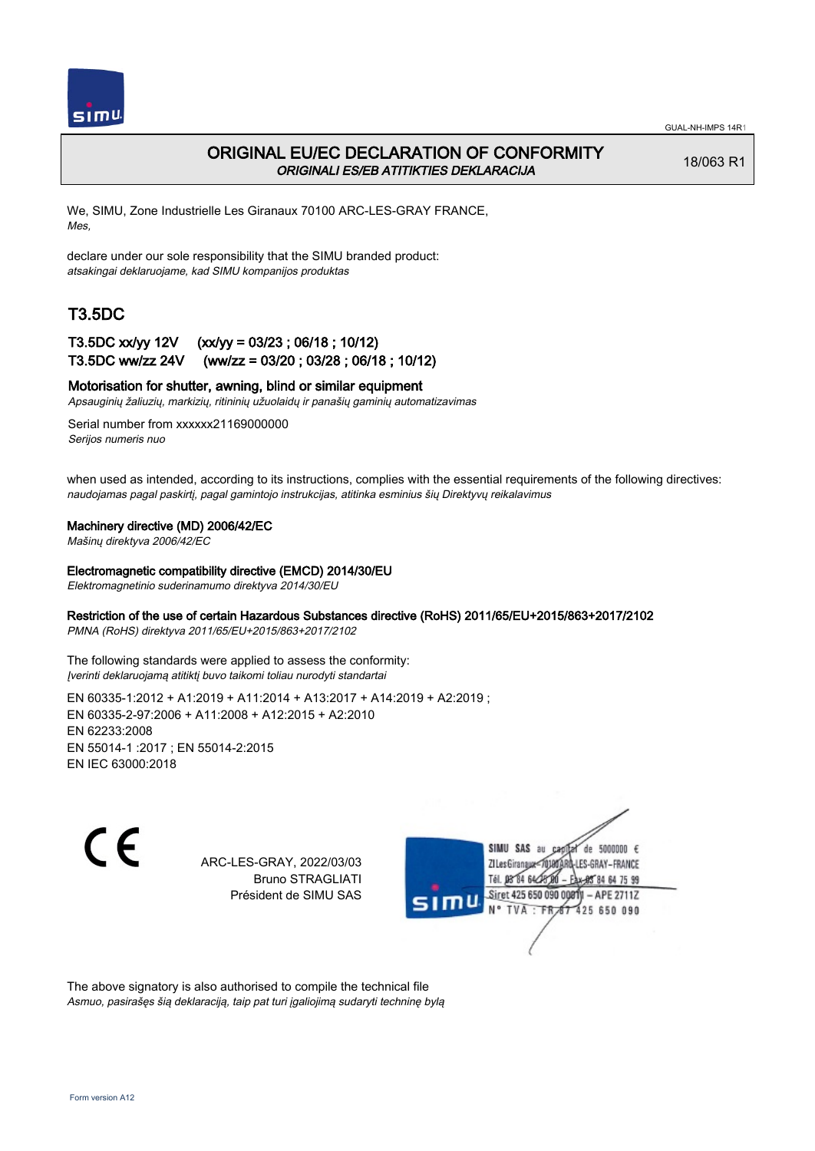

## ORIGINAL EU/EC DECLARATION OF CONFORMITY ORIGINALI ES/EB ATITIKTIES DEKLARACIJA

18/063 R1

We, SIMU, Zone Industrielle Les Giranaux 70100 ARC-LES-GRAY FRANCE, Mes,

declare under our sole responsibility that the SIMU branded product: atsakingai deklaruojame, kad SIMU kompanijos produktas

# T3.5DC

## T3.5DC xx/yy 12V (xx/yy = 03/23 ; 06/18 ; 10/12) T3.5DC ww/zz 24V (ww/zz = 03/20 ; 03/28 ; 06/18 ; 10/12)

### Motorisation for shutter, awning, blind or similar equipment

Apsauginių žaliuzių, markizių, ritininių užuolaidų ir panašių gaminių automatizavimas

Serial number from xxxxxx21169000000 Serijos numeris nuo

when used as intended, according to its instructions, complies with the essential requirements of the following directives: naudojamas pagal paskirtį, pagal gamintojo instrukcijas, atitinka esminius šių Direktyvų reikalavimus

#### Machinery directive (MD) 2006/42/EC

Mašinų direktyva 2006/42/EC

#### Electromagnetic compatibility directive (EMCD) 2014/30/EU

Elektromagnetinio suderinamumo direktyva 2014/30/EU

### Restriction of the use of certain Hazardous Substances directive (RoHS) 2011/65/EU+2015/863+2017/2102

PMNA (RoHS) direktyva 2011/65/EU+2015/863+2017/2102

The following standards were applied to assess the conformity: Įverinti deklaruojamą atitiktį buvo taikomi toliau nurodyti standartai

EN 60335‑1:2012 + A1:2019 + A11:2014 + A13:2017 + A14:2019 + A2:2019 ; EN 60335‑2‑97:2006 + A11:2008 + A12:2015 + A2:2010 EN 62233:2008 EN 55014‑1 :2017 ; EN 55014‑2:2015 EN IEC 63000:2018

 $\epsilon$ 

ARC-LES-GRAY, 2022/03/03 Bruno STRAGLIATI Président de SIMU SAS



The above signatory is also authorised to compile the technical file Asmuo, pasirašęs šią deklaraciją, taip pat turi įgaliojimą sudaryti techninę bylą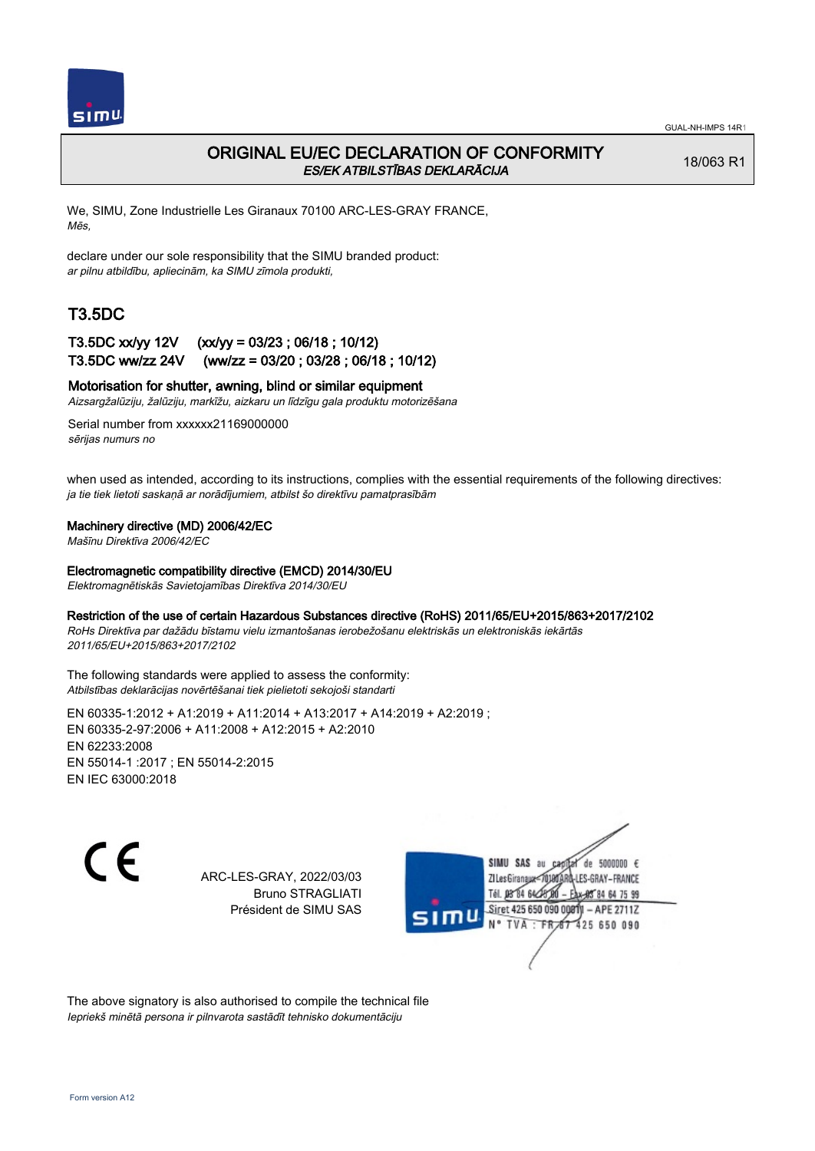

## ORIGINAL EU/EC DECLARATION OF CONFORMITY ES/EK ATBILSTĪBAS DEKLARĀCIJA

18/063 R1

We, SIMU, Zone Industrielle Les Giranaux 70100 ARC-LES-GRAY FRANCE, Mēs,

declare under our sole responsibility that the SIMU branded product: ar pilnu atbildību, apliecinām, ka SIMU zīmola produkti,

# T3.5DC

### T3.5DC xx/yy 12V (xx/yy = 03/23 ; 06/18 ; 10/12) T3.5DC ww/zz 24V (ww/zz = 03/20 ; 03/28 ; 06/18 ; 10/12)

### Motorisation for shutter, awning, blind or similar equipment

Aizsargžalūziju, žalūziju, markīžu, aizkaru un līdzīgu gala produktu motorizēšana

Serial number from xxxxxx21169000000 sērijas numurs no

when used as intended, according to its instructions, complies with the essential requirements of the following directives: ja tie tiek lietoti saskaņā ar norādījumiem, atbilst šo direktīvu pamatprasībām

#### Machinery directive (MD) 2006/42/EC

Mašīnu Direktīva 2006/42/EC

#### Electromagnetic compatibility directive (EMCD) 2014/30/EU

Elektromagnētiskās Savietojamības Direktīva 2014/30/EU

#### Restriction of the use of certain Hazardous Substances directive (RoHS) 2011/65/EU+2015/863+2017/2102

RoHs Direktīva par dažādu bīstamu vielu izmantošanas ierobežošanu elektriskās un elektroniskās iekārtās 2011/65/EU+2015/863+2017/2102

The following standards were applied to assess the conformity: Atbilstības deklarācijas novērtēšanai tiek pielietoti sekojoši standarti

EN 60335‑1:2012 + A1:2019 + A11:2014 + A13:2017 + A14:2019 + A2:2019 ; EN 60335‑2‑97:2006 + A11:2008 + A12:2015 + A2:2010 EN 62233:2008 EN 55014‑1 :2017 ; EN 55014‑2:2015 EN IEC 63000:2018

C E

ARC-LES-GRAY, 2022/03/03 Bruno STRAGLIATI Président de SIMU SAS



The above signatory is also authorised to compile the technical file Iepriekš minētā persona ir pilnvarota sastādīt tehnisko dokumentāciju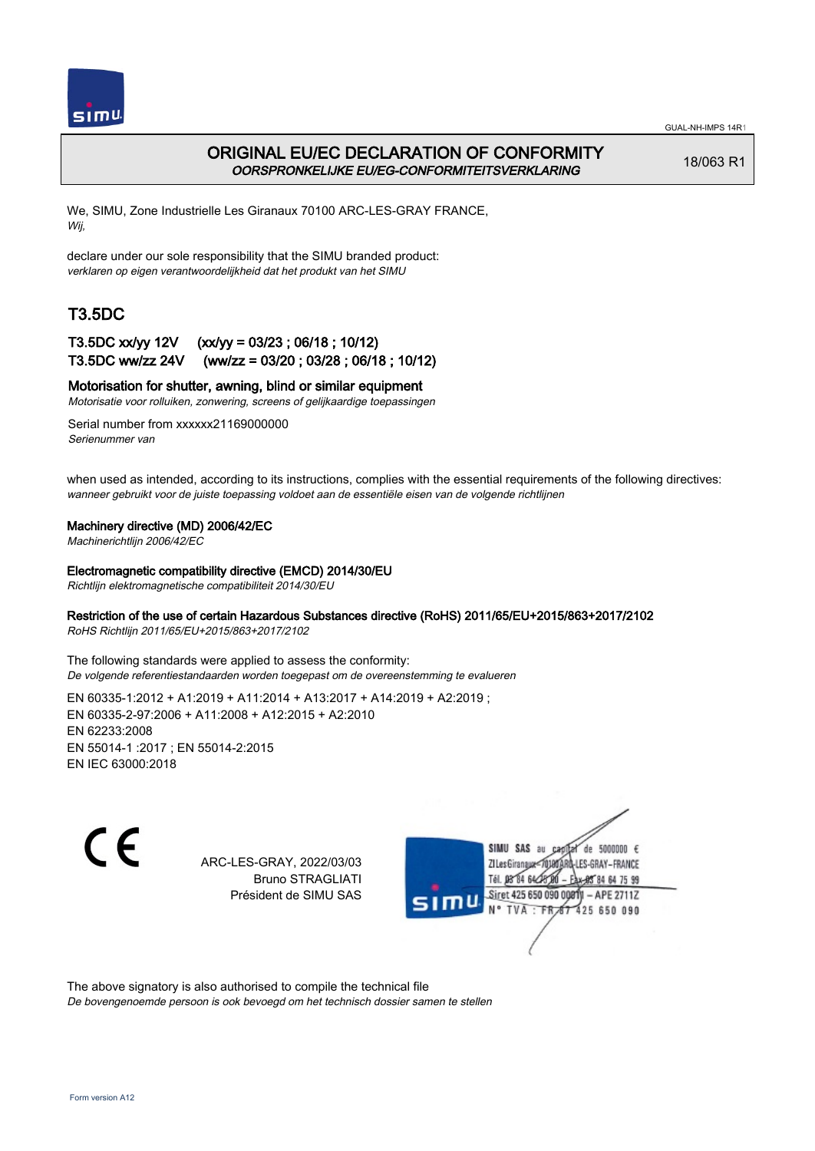

## ORIGINAL EU/EC DECLARATION OF CONFORMITY OORSPRONKELIJKE EU/EG-CONFORMITEITSVERKLARING

18/063 R1

We, SIMU, Zone Industrielle Les Giranaux 70100 ARC-LES-GRAY FRANCE, Wij,

declare under our sole responsibility that the SIMU branded product: verklaren op eigen verantwoordelijkheid dat het produkt van het SIMU

# T3.5DC

### T3.5DC xx/yy 12V (xx/yy = 03/23 ; 06/18 ; 10/12) T3.5DC ww/zz 24V (ww/zz = 03/20 ; 03/28 ; 06/18 ; 10/12)

### Motorisation for shutter, awning, blind or similar equipment

Motorisatie voor rolluiken, zonwering, screens of gelijkaardige toepassingen

Serial number from xxxxxx21169000000 Serienummer van

when used as intended, according to its instructions, complies with the essential requirements of the following directives: wanneer gebruikt voor de juiste toepassing voldoet aan de essentiële eisen van de volgende richtlijnen

### Machinery directive (MD) 2006/42/EC

Machinerichtlijn 2006/42/EC

#### Electromagnetic compatibility directive (EMCD) 2014/30/EU

Richtlijn elektromagnetische compatibiliteit 2014/30/EU

### Restriction of the use of certain Hazardous Substances directive (RoHS) 2011/65/EU+2015/863+2017/2102

RoHS Richtlijn 2011/65/EU+2015/863+2017/2102

The following standards were applied to assess the conformity: De volgende referentiestandaarden worden toegepast om de overeenstemming te evalueren

EN 60335‑1:2012 + A1:2019 + A11:2014 + A13:2017 + A14:2019 + A2:2019 ; EN 60335‑2‑97:2006 + A11:2008 + A12:2015 + A2:2010 EN 62233:2008 EN 55014‑1 :2017 ; EN 55014‑2:2015 EN IEC 63000:2018

C F

ARC-LES-GRAY, 2022/03/03 Bruno STRAGLIATI Président de SIMU SAS



The above signatory is also authorised to compile the technical file

De bovengenoemde persoon is ook bevoegd om het technisch dossier samen te stellen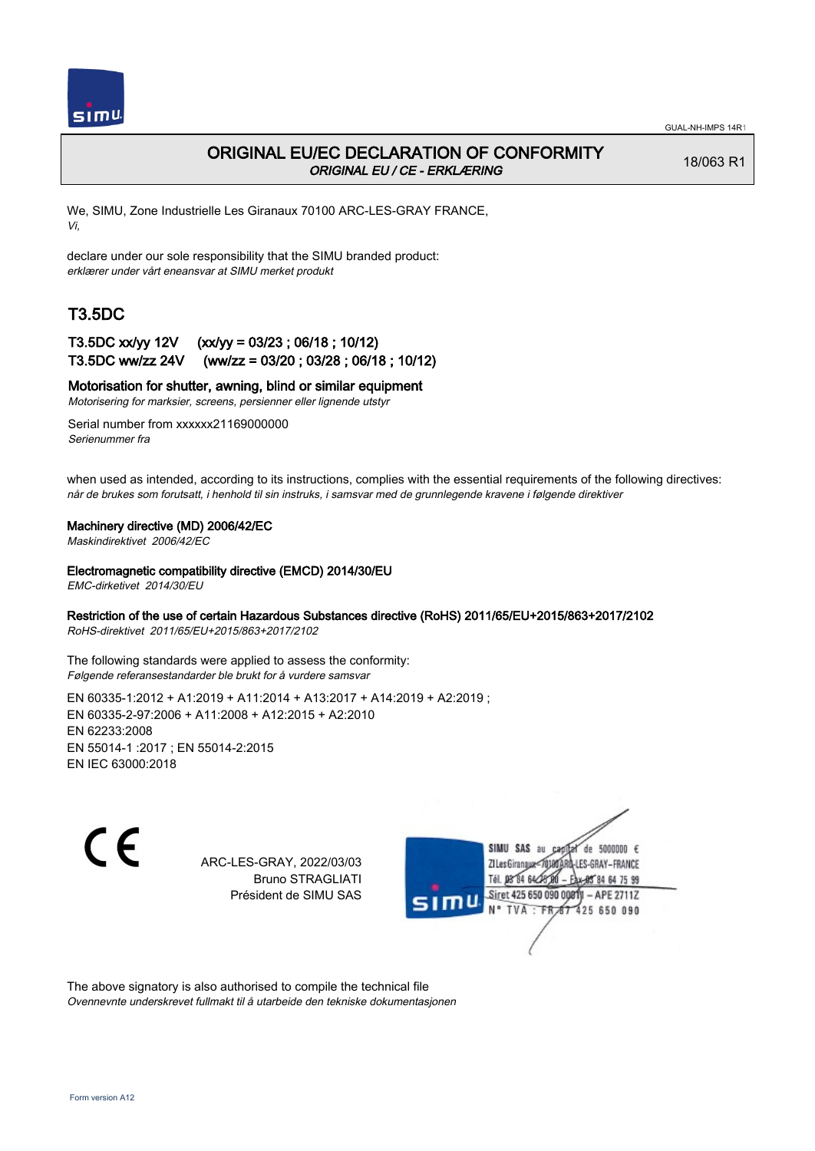

## ORIGINAL EU/EC DECLARATION OF CONFORMITY ORIGINAL EU / CE - ERKLÆRING

18/063 R1

We, SIMU, Zone Industrielle Les Giranaux 70100 ARC-LES-GRAY FRANCE, Vi,

declare under our sole responsibility that the SIMU branded product: erklærer under vårt eneansvar at SIMU merket produkt

# T3.5DC

## T3.5DC xx/yy 12V (xx/yy = 03/23 ; 06/18 ; 10/12) T3.5DC ww/zz 24V (ww/zz = 03/20 ; 03/28 ; 06/18 ; 10/12)

### Motorisation for shutter, awning, blind or similar equipment

Motorisering for marksier, screens, persienner eller lignende utstyr

Serial number from xxxxxx21169000000 Serienummer fra

when used as intended, according to its instructions, complies with the essential requirements of the following directives: når de brukes som forutsatt, i henhold til sin instruks, i samsvar med de grunnlegende kravene i følgende direktiver

### Machinery directive (MD) 2006/42/EC

Maskindirektivet 2006/42/EC

Electromagnetic compatibility directive (EMCD) 2014/30/EU

EMC-dirketivet 2014/30/EU

### Restriction of the use of certain Hazardous Substances directive (RoHS) 2011/65/EU+2015/863+2017/2102

RoHS-direktivet 2011/65/EU+2015/863+2017/2102

The following standards were applied to assess the conformity: Følgende referansestandarder ble brukt for å vurdere samsvar

EN 60335‑1:2012 + A1:2019 + A11:2014 + A13:2017 + A14:2019 + A2:2019 ; EN 60335‑2‑97:2006 + A11:2008 + A12:2015 + A2:2010 EN 62233:2008 EN 55014‑1 :2017 ; EN 55014‑2:2015 EN IEC 63000:2018

 $\epsilon$ 

ARC-LES-GRAY, 2022/03/03 Bruno STRAGLIATI Président de SIMU SAS



The above signatory is also authorised to compile the technical file Ovennevnte underskrevet fullmakt til å utarbeide den tekniske dokumentasjonen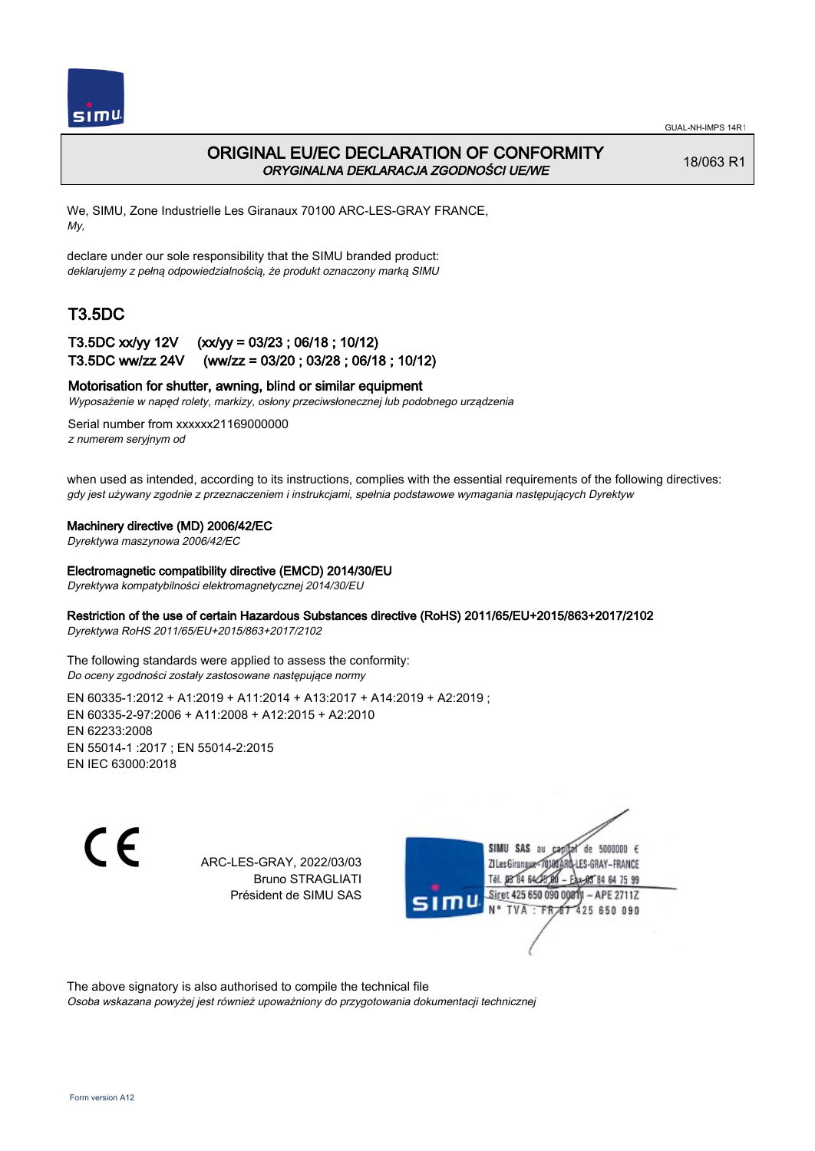

## ORIGINAL EU/EC DECLARATION OF CONFORMITY ORYGINALNA DEKLARACJA ZGODNOŚCI UE/WE

18/063 R1

We, SIMU, Zone Industrielle Les Giranaux 70100 ARC-LES-GRAY FRANCE, My,

declare under our sole responsibility that the SIMU branded product: deklarujemy z pełną odpowiedzialnością, że produkt oznaczony marką SIMU

# T3.5DC

## T3.5DC xx/yy 12V (xx/yy = 03/23 ; 06/18 ; 10/12) T3.5DC ww/zz 24V (ww/zz = 03/20 ; 03/28 ; 06/18 ; 10/12)

### Motorisation for shutter, awning, blind or similar equipment

Wyposażenie w napęd rolety, markizy, osłony przeciwsłonecznej lub podobnego urządzenia

Serial number from xxxxxx21169000000 z numerem seryjnym od

when used as intended, according to its instructions, complies with the essential requirements of the following directives: gdy jest używany zgodnie z przeznaczeniem i instrukcjami, spełnia podstawowe wymagania następujących Dyrektyw

### Machinery directive (MD) 2006/42/EC

Dyrektywa maszynowa 2006/42/EC

#### Electromagnetic compatibility directive (EMCD) 2014/30/EU

Dyrektywa kompatybilności elektromagnetycznej 2014/30/EU

### Restriction of the use of certain Hazardous Substances directive (RoHS) 2011/65/EU+2015/863+2017/2102

Dyrektywa RoHS 2011/65/EU+2015/863+2017/2102

The following standards were applied to assess the conformity: Do oceny zgodności zostały zastosowane następujące normy

EN 60335‑1:2012 + A1:2019 + A11:2014 + A13:2017 + A14:2019 + A2:2019 ; EN 60335‑2‑97:2006 + A11:2008 + A12:2015 + A2:2010 EN 62233:2008 EN 55014‑1 :2017 ; EN 55014‑2:2015 EN IEC 63000:2018

C F

ARC-LES-GRAY, 2022/03/03 Bruno STRAGLIATI Président de SIMU SAS

de 5000000  $\epsilon$ **ZILesGiranaux** ES-GRAY-FRANCE Tél. 08 84 64 24 85 84 64 75 99 Siret 425 650 090 00811 - APE 2711Z 425 650 090 **TVA** 

The above signatory is also authorised to compile the technical file

Osoba wskazana powyżej jest również upoważniony do przygotowania dokumentacji technicznej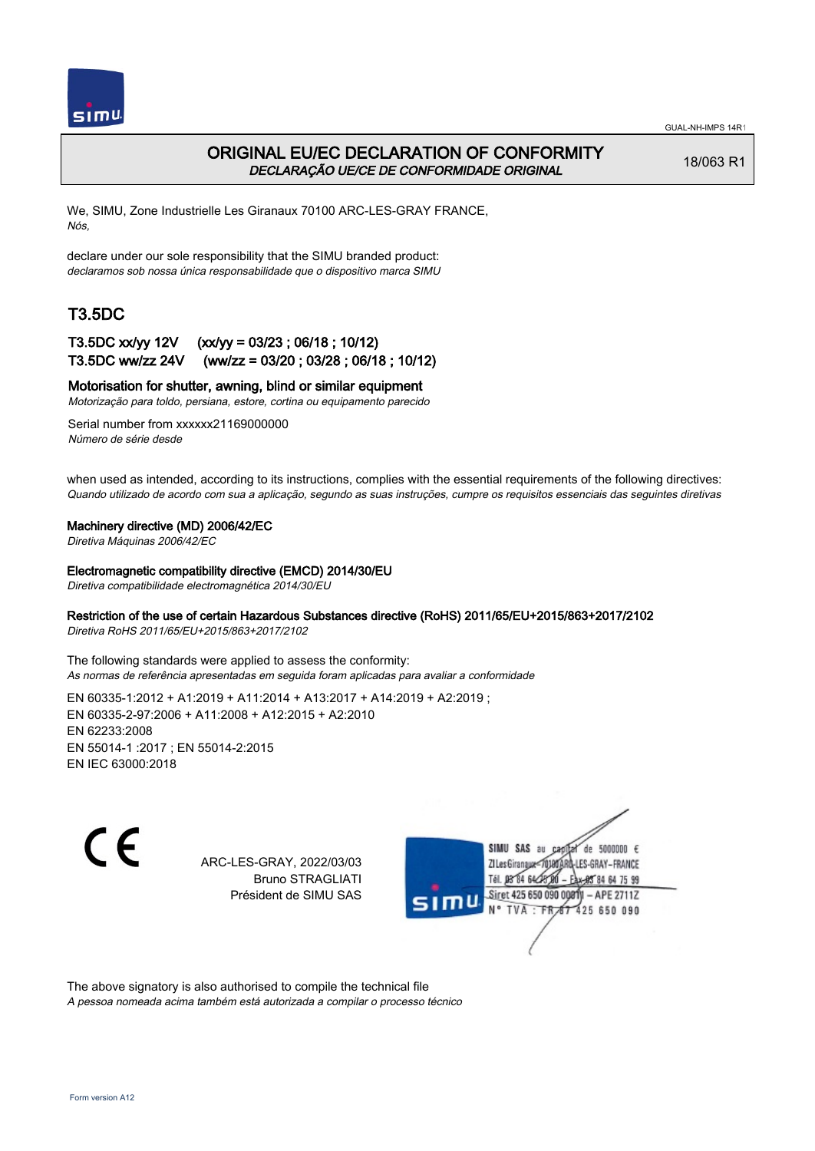

## ORIGINAL EU/EC DECLARATION OF CONFORMITY DECLARAÇÃO UE/CE DE CONFORMIDADE ORIGINAL

18/063 R1

We, SIMU, Zone Industrielle Les Giranaux 70100 ARC-LES-GRAY FRANCE, Nós,

declare under our sole responsibility that the SIMU branded product: declaramos sob nossa única responsabilidade que o dispositivo marca SIMU

# T3.5DC

## T3.5DC xx/yy 12V (xx/yy = 03/23 ; 06/18 ; 10/12) T3.5DC ww/zz 24V (ww/zz = 03/20 ; 03/28 ; 06/18 ; 10/12)

### Motorisation for shutter, awning, blind or similar equipment

Motorização para toldo, persiana, estore, cortina ou equipamento parecido

Serial number from xxxxxx21169000000 Número de série desde

when used as intended, according to its instructions, complies with the essential requirements of the following directives: Quando utilizado de acordo com sua a aplicação, segundo as suas instruções, cumpre os requisitos essenciais das seguintes diretivas

### Machinery directive (MD) 2006/42/EC

Diretiva Máquinas 2006/42/EC

#### Electromagnetic compatibility directive (EMCD) 2014/30/EU

Diretiva compatibilidade electromagnética 2014/30/EU

### Restriction of the use of certain Hazardous Substances directive (RoHS) 2011/65/EU+2015/863+2017/2102

Diretiva RoHS 2011/65/EU+2015/863+2017/2102

The following standards were applied to assess the conformity: As normas de referência apresentadas em seguida foram aplicadas para avaliar a conformidade

EN 60335‑1:2012 + A1:2019 + A11:2014 + A13:2017 + A14:2019 + A2:2019 ; EN 60335‑2‑97:2006 + A11:2008 + A12:2015 + A2:2010 EN 62233:2008 EN 55014‑1 :2017 ; EN 55014‑2:2015 EN IEC 63000:2018

C F

ARC-LES-GRAY, 2022/03/03 Bruno STRAGLIATI Président de SIMU SAS



The above signatory is also authorised to compile the technical file

A pessoa nomeada acima também está autorizada a compilar o processo técnico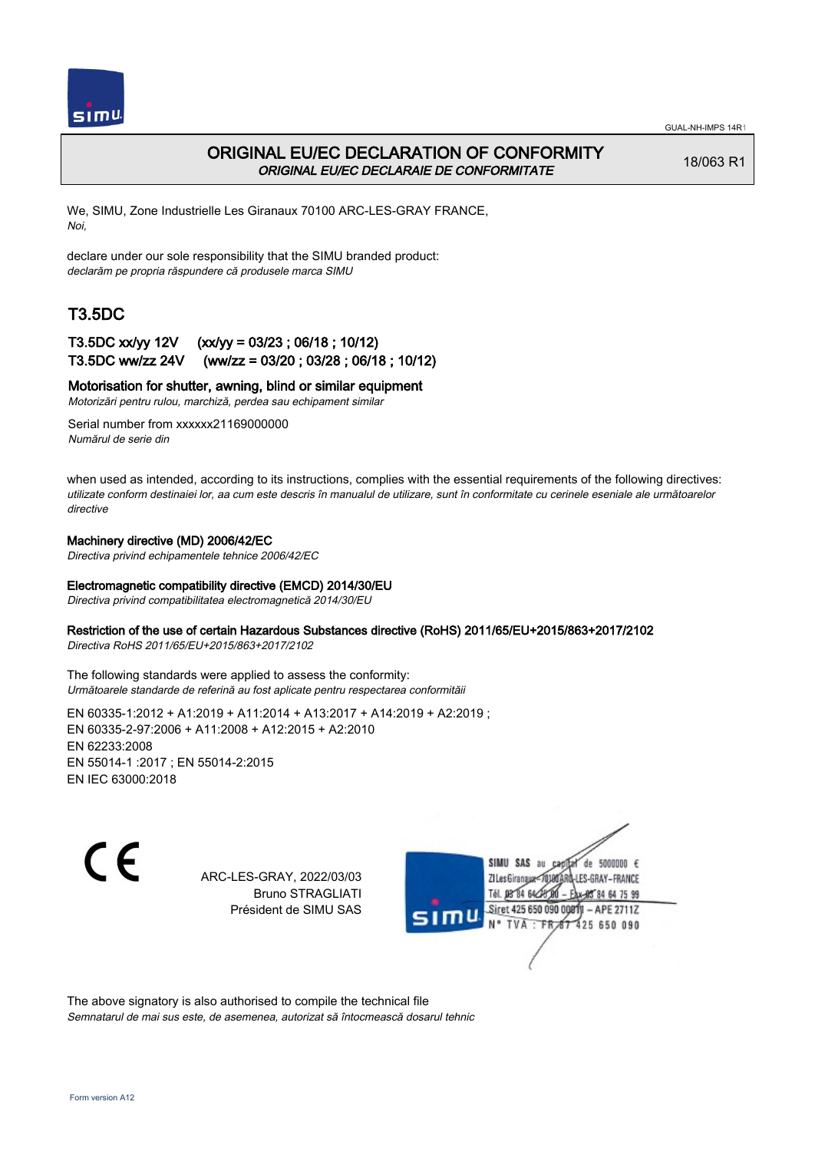

## ORIGINAL EU/EC DECLARATION OF CONFORMITY ORIGINAL EU/EC DECLARAIE DE CONFORMITATE

18/063 R1

We, SIMU, Zone Industrielle Les Giranaux 70100 ARC-LES-GRAY FRANCE, Noi,

declare under our sole responsibility that the SIMU branded product: declarăm pe propria răspundere că produsele marca SIMU

# T3.5DC

### T3.5DC xx/yy 12V (xx/yy = 03/23 ; 06/18 ; 10/12) T3.5DC ww/zz 24V (ww/zz = 03/20 ; 03/28 ; 06/18 ; 10/12)

### Motorisation for shutter, awning, blind or similar equipment

Motorizări pentru rulou, marchiză, perdea sau echipament similar

Serial number from xxxxxx21169000000 Numărul de serie din

when used as intended, according to its instructions, complies with the essential requirements of the following directives: utilizate conform destinaiei lor, aa cum este descris în manualul de utilizare, sunt în conformitate cu cerinele eseniale ale următoarelor directive

#### Machinery directive (MD) 2006/42/EC

Directiva privind echipamentele tehnice 2006/42/EC

#### Electromagnetic compatibility directive (EMCD) 2014/30/EU

Directiva privind compatibilitatea electromagnetică 2014/30/EU

#### Restriction of the use of certain Hazardous Substances directive (RoHS) 2011/65/EU+2015/863+2017/2102

Directiva RoHS 2011/65/EU+2015/863+2017/2102

The following standards were applied to assess the conformity: Următoarele standarde de referină au fost aplicate pentru respectarea conformităii

EN 60335‑1:2012 + A1:2019 + A11:2014 + A13:2017 + A14:2019 + A2:2019 ; EN 60335‑2‑97:2006 + A11:2008 + A12:2015 + A2:2010 EN 62233:2008 EN 55014‑1 :2017 ; EN 55014‑2:2015 EN IEC 63000:2018

C F

ARC-LES-GRAY, 2022/03/03 Bruno STRAGLIATI Président de SIMU SAS

SIMU SAS de 5000000 € **ZILes Giranaux** ES-GRAY-FRANCE 64 75 99 Siret 425 650 090 00811  $-$  APE 2711Z 425 650 090

The above signatory is also authorised to compile the technical file Semnatarul de mai sus este, de asemenea, autorizat să întocmească dosarul tehnic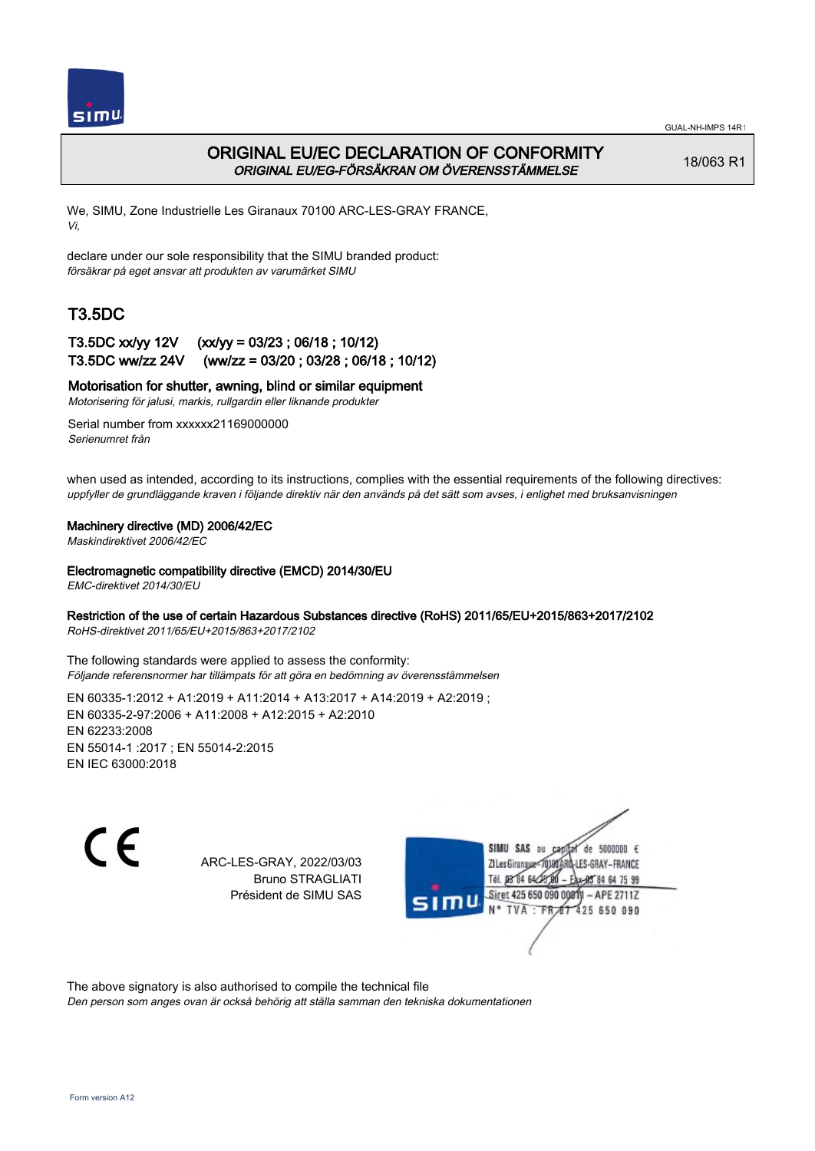

## ORIGINAL EU/EC DECLARATION OF CONFORMITY ORIGINAL EU/EG-FÖRSÄKRAN OM ÖVERENSSTÄMMELSE

18/063 R1

We, SIMU, Zone Industrielle Les Giranaux 70100 ARC-LES-GRAY FRANCE, Vi,

declare under our sole responsibility that the SIMU branded product: försäkrar på eget ansvar att produkten av varumärket SIMU

# T3.5DC

### T3.5DC xx/yy 12V (xx/yy = 03/23 ; 06/18 ; 10/12) T3.5DC ww/zz 24V (ww/zz = 03/20 ; 03/28 ; 06/18 ; 10/12)

### Motorisation for shutter, awning, blind or similar equipment

Motorisering för jalusi, markis, rullgardin eller liknande produkter

Serial number from xxxxxx21169000000 Serienumret från

when used as intended, according to its instructions, complies with the essential requirements of the following directives: uppfyller de grundläggande kraven i följande direktiv när den används på det sätt som avses, i enlighet med bruksanvisningen

### Machinery directive (MD) 2006/42/EC

Maskindirektivet 2006/42/EC

Electromagnetic compatibility directive (EMCD) 2014/30/EU

EMC-direktivet 2014/30/EU

### Restriction of the use of certain Hazardous Substances directive (RoHS) 2011/65/EU+2015/863+2017/2102

RoHS-direktivet 2011/65/EU+2015/863+2017/2102

The following standards were applied to assess the conformity: Följande referensnormer har tillämpats för att göra en bedömning av överensstämmelsen

EN 60335‑1:2012 + A1:2019 + A11:2014 + A13:2017 + A14:2019 + A2:2019 ; EN 60335‑2‑97:2006 + A11:2008 + A12:2015 + A2:2010 EN 62233:2008 EN 55014‑1 :2017 ; EN 55014‑2:2015 EN IEC 63000:2018

 $\epsilon$ 

ARC-LES-GRAY, 2022/03/03 Bruno STRAGLIATI Président de SIMU SAS



The above signatory is also authorised to compile the technical file

Den person som anges ovan är också behörig att ställa samman den tekniska dokumentationen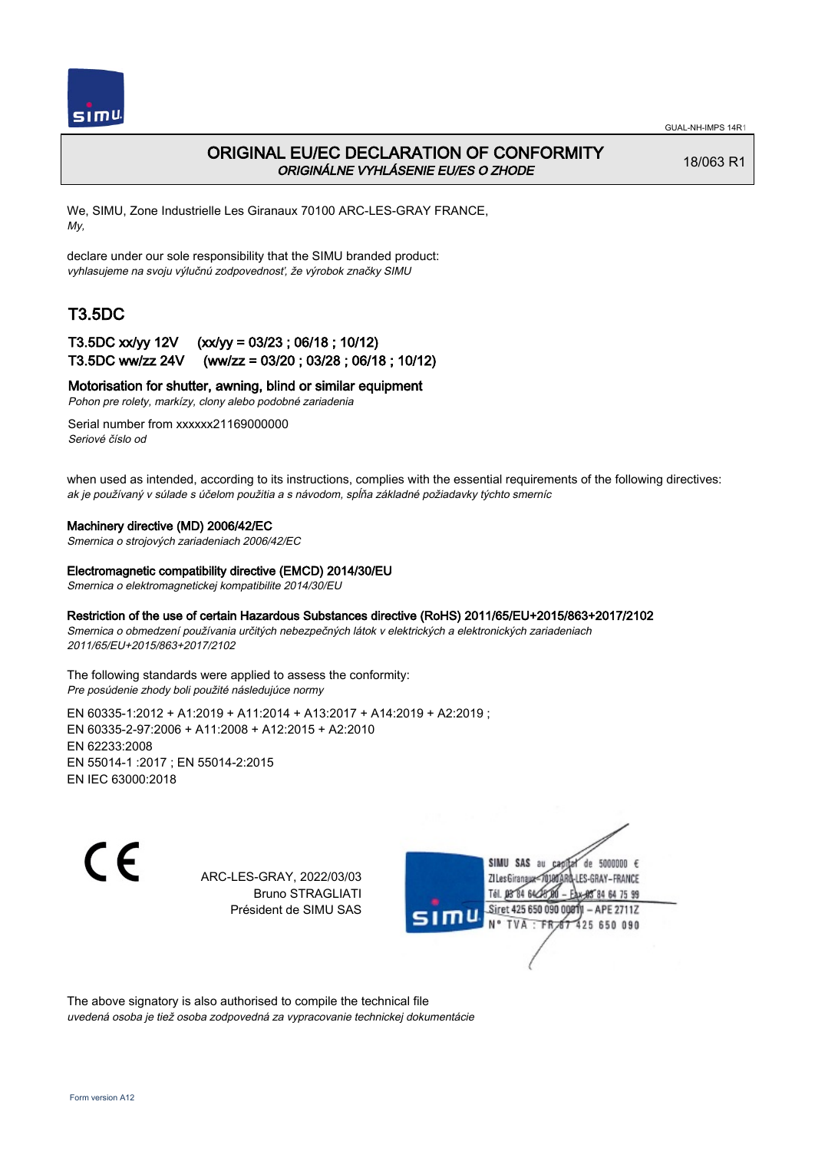

## ORIGINAL EU/EC DECLARATION OF CONFORMITY ORIGINÁLNE VYHLÁSENIE EU/ES O ZHODE

18/063 R1

We, SIMU, Zone Industrielle Les Giranaux 70100 ARC-LES-GRAY FRANCE, My,

declare under our sole responsibility that the SIMU branded product: vyhlasujeme na svoju výlučnú zodpovednosť, že výrobok značky SIMU

# T3.5DC

### T3.5DC xx/yy 12V (xx/yy = 03/23 ; 06/18 ; 10/12) T3.5DC ww/zz 24V (ww/zz = 03/20 ; 03/28 ; 06/18 ; 10/12)

Motorisation for shutter, awning, blind or similar equipment

Pohon pre rolety, markízy, clony alebo podobné zariadenia

Serial number from xxxxxx21169000000 Seriové číslo od

when used as intended, according to its instructions, complies with the essential requirements of the following directives: ak je používaný v súlade s účelom použitia a s návodom, spĺňa základné požiadavky týchto smerníc

### Machinery directive (MD) 2006/42/EC

Smernica o strojových zariadeniach 2006/42/EC

### Electromagnetic compatibility directive (EMCD) 2014/30/EU

Smernica o elektromagnetickej kompatibilite 2014/30/EU

### Restriction of the use of certain Hazardous Substances directive (RoHS) 2011/65/EU+2015/863+2017/2102

Smernica o obmedzení používania určitých nebezpečných látok v elektrických a elektronických zariadeniach 2011/65/EU+2015/863+2017/2102

#### The following standards were applied to assess the conformity: Pre posúdenie zhody boli použité následujúce normy

EN 60335‑1:2012 + A1:2019 + A11:2014 + A13:2017 + A14:2019 + A2:2019 ; EN 60335‑2‑97:2006 + A11:2008 + A12:2015 + A2:2010 EN 62233:2008 EN 55014‑1 :2017 ; EN 55014‑2:2015 EN IEC 63000:2018

C E

ARC-LES-GRAY, 2022/03/03 Bruno STRAGLIATI Président de SIMU SAS



The above signatory is also authorised to compile the technical file uvedená osoba je tiež osoba zodpovedná za vypracovanie technickej dokumentácie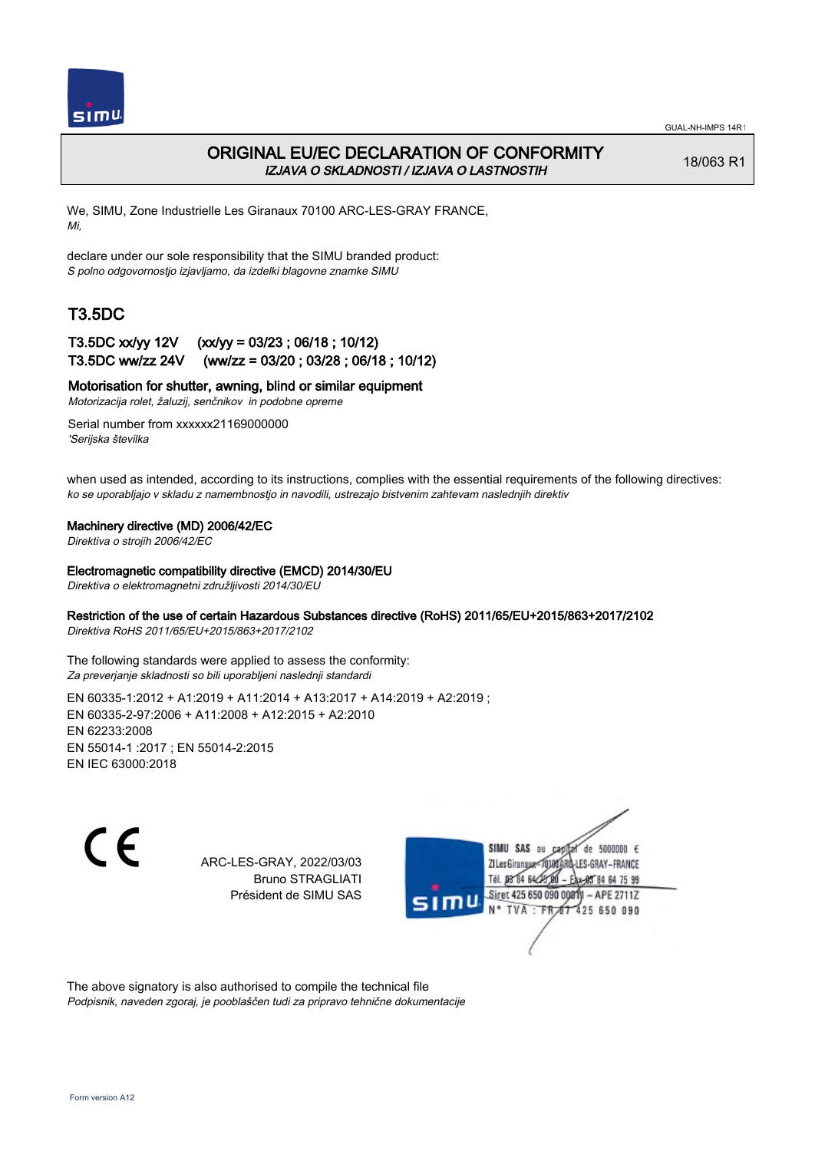

## ORIGINAL EU/EC DECLARATION OF CONFORMITY IZJAVA O SKLADNOSTI / IZJAVA O LASTNOSTIH

18/063 R1

We, SIMU, Zone Industrielle Les Giranaux 70100 ARC-LES-GRAY FRANCE, Mi,

declare under our sole responsibility that the SIMU branded product: S polno odgovornostjo izjavljamo, da izdelki blagovne znamke SIMU

# T3.5DC

### T3.5DC xx/yy 12V (xx/yy = 03/23 ; 06/18 ; 10/12) T3.5DC ww/zz 24V (ww/zz = 03/20 ; 03/28 ; 06/18 ; 10/12)

### Motorisation for shutter, awning, blind or similar equipment

Motorizacija rolet, žaluzij, senčnikov in podobne opreme

Serial number from xxxxxx21169000000 'Serijska številka

when used as intended, according to its instructions, complies with the essential requirements of the following directives: ko se uporabljajo v skladu z namembnostjo in navodili, ustrezajo bistvenim zahtevam naslednjih direktiv

### Machinery directive (MD) 2006/42/EC

Direktiva o strojih 2006/42/EC

#### Electromagnetic compatibility directive (EMCD) 2014/30/EU

Direktiva o elektromagnetni združljivosti 2014/30/EU

### Restriction of the use of certain Hazardous Substances directive (RoHS) 2011/65/EU+2015/863+2017/2102

Direktiva RoHS 2011/65/EU+2015/863+2017/2102

The following standards were applied to assess the conformity: Za preverjanje skladnosti so bili uporabljeni naslednji standardi

EN 60335‑1:2012 + A1:2019 + A11:2014 + A13:2017 + A14:2019 + A2:2019 ; EN 60335‑2‑97:2006 + A11:2008 + A12:2015 + A2:2010 EN 62233:2008 EN 55014‑1 :2017 ; EN 55014‑2:2015 EN IEC 63000:2018

 $\epsilon$ 

ARC-LES-GRAY, 2022/03/03 Bruno STRAGLIATI Président de SIMU SAS



The above signatory is also authorised to compile the technical file Podpisnik, naveden zgoraj, je pooblaščen tudi za pripravo tehnične dokumentacije